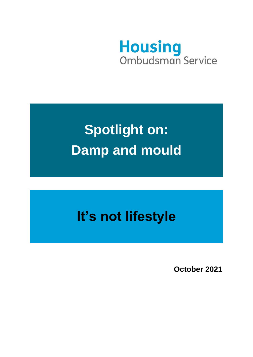

# **Spotlight on: Damp and mould**

# **It's not lifestyle**

**October 2021**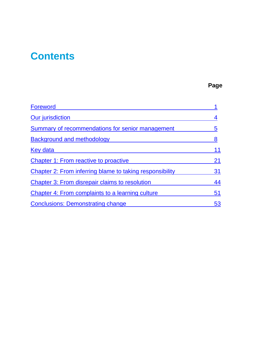# **Contents**

## **Page**

| <b>Foreword</b>                                          |    |
|----------------------------------------------------------|----|
| Our jurisdiction                                         |    |
| Summary of recommendations for senior management         | 5  |
| <b>Background and methodology</b>                        | 8  |
| Key data                                                 | 11 |
| <b>Chapter 1: From reactive to proactive</b>             | 21 |
| Chapter 2: From inferring blame to taking responsibility | 31 |
| <b>Chapter 3: From disrepair claims to resolution</b>    | 44 |
| Chapter 4: From complaints to a learning culture         | 51 |
| <b>Conclusions: Demonstrating change</b>                 | 53 |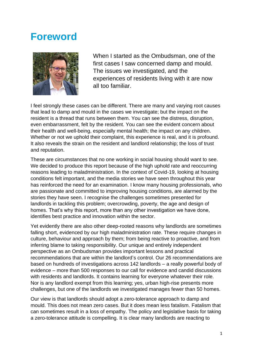# **Foreword**



When I started as the Ombudsman, one of the first cases I saw concerned damp and mould. The issues we investigated, and the experiences of residents living with it are now all too familiar.

I feel strongly these cases can be different. There are many and varying root causes that lead to damp and mould in the cases we investigate; but the impact on the resident is a thread that runs between them. You can see the distress, disruption, even embarrassment, felt by the resident. You can see the evident concern about their health and well-being, especially mental health; the impact on any children. Whether or not we uphold their complaint, this experience is real, and it is profound. It also reveals the strain on the resident and landlord relationship; the loss of trust and reputation.

These are circumstances that no one working in social housing should want to see. We decided to produce this report because of the high uphold rate and reoccurring reasons leading to maladministration. In the context of Covid-19, looking at housing conditions felt important, and the media stories we have seen throughout this year has reinforced the need for an examination. I know many housing professionals, who are passionate and committed to improving housing conditions, are alarmed by the stories they have seen. I recognise the challenges sometimes presented for landlords in tackling this problem; overcrowding, poverty, the age and design of homes. That's why this report, more than any other investigation we have done, identifies best practice and innovation within the sector.

Yet evidently there are also other deep-rooted reasons why landlords are sometimes falling short, evidenced by our high maladministration rate. These require changes in culture, behaviour and approach by them; from being reactive to proactive, and from inferring blame to taking responsibility. Our unique and entirely independent perspective as an Ombudsman provides important lessons and practical recommendations that are within the landlord's control. Our 26 recommendations are based on hundreds of investigations across 142 landlords – a really powerful body of evidence – more than 500 responses to our call for evidence and candid discussions with residents and landlords. It contains learning for everyone whatever their role. Nor is any landlord exempt from this learning; yes, urban high-rise presents more challenges, but one of the landlords we investigated manages fewer than 50 homes.

Our view is that landlords should adopt a zero-tolerance approach to damp and mould. This does not mean zero cases. But it does mean less fatalism. Fatalism that can sometimes result in a loss of empathy. The policy and legislative basis for taking a zero-tolerance attitude is compelling. It is clear many landlords are reacting to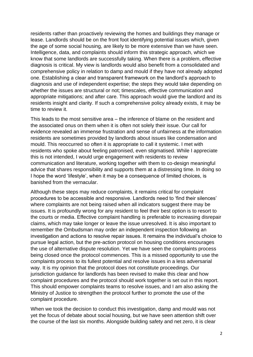residents rather than proactively reviewing the homes and buildings they manage or lease. Landlords should be on the front foot identifying potential issues which, given the age of some social housing, are likely to be more extensive than we have seen. Intelligence, data, and complaints should inform this strategic approach, which we know that some landlords are successfully taking. When there is a problem, effective diagnosis is critical. My view is landlords would also benefit from a consolidated and comprehensive policy in relation to damp and mould if they have not already adopted one. Establishing a clear and transparent framework on the landlord's approach to diagnosis and use of independent expertise; the steps they would take depending on whether the issues are structural or not; timescales, effective communication and appropriate mitigations; and after care. This approach would give the landlord and its residents insight and clarity. If such a comprehensive policy already exists, it may be time to review it.

This leads to the most sensitive area – the inference of blame on the resident and the associated onus on them when it is often not solely their issue. Our call for evidence revealed an immense frustration and sense of unfairness at the information residents are sometimes provided by landlords about issues like condensation and mould. This reoccurred so often it is appropriate to call it systemic. I met with residents who spoke about feeling patronised, even stigmatised. While I appreciate this is not intended, I would urge engagement with residents to review communication and literature, working together with them to co-design meaningful advice that shares responsibility and supports them at a distressing time. In doing so I hope the word 'lifestyle', when it may be a consequence of limited choices, is banished from the vernacular.

Although these steps may reduce complaints, it remains critical for complaint procedures to be accessible and responsive. Landlords need to 'find their silences' where complaints are not being raised when all indicators suggest there may be issues. It is profoundly wrong for any resident to feel their best option is to resort to the courts or media. Effective complaint handling is preferable to increasing disrepair claims, which may take longer or leave the issue unresolved. It is also important to remember the Ombudsman may order an independent inspection following an investigation and actions to resolve repair issues. It remains the individual's choice to pursue legal action, but the pre-action protocol on housing conditions encourages the use of alternative dispute resolution. Yet we have seen the complaints process being closed once the protocol commences. This is a missed opportunity to use the complaints process to its fullest potential and resolve issues in a less adversarial way. It is my opinion that the protocol does not constitute proceedings. Our jurisdiction guidance for landlords has been revised to make this clear and how complaint procedures and the protocol should work together is set out in this report. This should empower complaints teams to resolve issues, and I am also asking the Ministry of Justice to strengthen the protocol further to promote the use of the complaint procedure.

When we took the decision to conduct this investigation, damp and mould was not yet the focus of debate about social housing, but we have seen attention shift over the course of the last six months. Alongside building safety and net zero, it is clear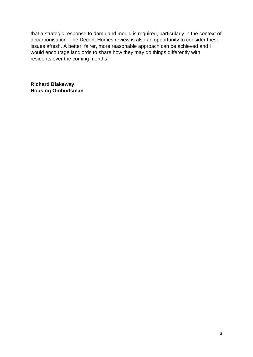that a strategic response to damp and mould is required, particularly in the context of decarbonisation. The Decent Homes review is also an opportunity to consider these issues afresh. A better, fairer, more reasonable approach can be achieved and I would encourage landlords to share how they may do things differently with residents over the coming months.

**Richard Blakeway Housing Ombudsman**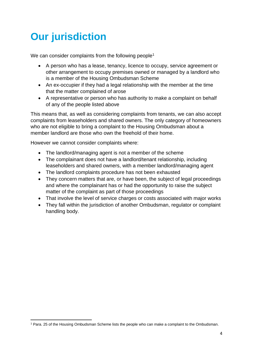# **Our jurisdiction**

We can consider complaints from the following people<sup>1</sup>

- A person who has a lease, tenancy, licence to occupy, service agreement or other arrangement to occupy premises owned or managed by a landlord who is a member of the Housing Ombudsman Scheme
- An ex-occupier if they had a legal relationship with the member at the time that the matter complained of arose
- A representative or person who has authority to make a complaint on behalf of any of the people listed above

This means that, as well as considering complaints from tenants, we can also accept complaints from leaseholders and shared owners. The only category of homeowners who are not eligible to bring a complaint to the Housing Ombudsman about a member landlord are those who own the freehold of their home.

However we cannot consider complaints where:

- The landlord/managing agent is not a member of the scheme
- The complainant does not have a landlord/tenant relationship, including leaseholders and shared owners, with a member landlord/managing agent
- The landlord complaints procedure has not been exhausted
- They concern matters that are, or have been, the subject of legal proceedings and where the complainant has or had the opportunity to raise the subject matter of the complaint as part of those proceedings
- That involve the level of service charges or costs associated with major works
- They fall within the jurisdiction of another Ombudsman, regulator or complaint handling body.

<sup>1</sup> Para. 25 of the Housing Ombudsman Scheme lists the people who can make a complaint to the Ombudsman.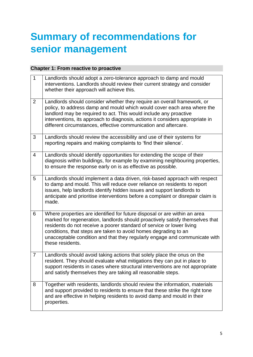# **Summary of recommendations for senior management**

#### **Chapter 1: From reactive to proactive**

| $\mathbf{1}$   | Landlords should adopt a zero-tolerance approach to damp and mould<br>interventions. Landlords should review their current strategy and consider<br>whether their approach will achieve this.                                                                                                                                                                                                            |
|----------------|----------------------------------------------------------------------------------------------------------------------------------------------------------------------------------------------------------------------------------------------------------------------------------------------------------------------------------------------------------------------------------------------------------|
| $\overline{2}$ | Landlords should consider whether they require an overall framework, or<br>policy, to address damp and mould which would cover each area where the<br>landlord may be required to act. This would include any proactive<br>interventions, its approach to diagnosis, actions it considers appropriate in<br>different circumstances, effective communication and aftercare.                              |
| 3              | Landlords should review the accessibility and use of their systems for<br>reporting repairs and making complaints to 'find their silence'.                                                                                                                                                                                                                                                               |
| 4              | Landlords should identify opportunities for extending the scope of their<br>diagnosis within buildings, for example by examining neighbouring properties,<br>to ensure the response early on is as effective as possible.                                                                                                                                                                                |
| 5              | Landlords should implement a data driven, risk-based approach with respect<br>to damp and mould. This will reduce over reliance on residents to report<br>issues, help landlords identify hidden issues and support landlords to<br>anticipate and prioritise interventions before a complaint or disrepair claim is<br>made.                                                                            |
| 6              | Where properties are identified for future disposal or are within an area<br>marked for regeneration, landlords should proactively satisfy themselves that<br>residents do not receive a poorer standard of service or lower living<br>conditions, that steps are taken to avoid homes degrading to an<br>unacceptable condition and that they regularly engage and communicate with<br>these residents. |
| $\overline{7}$ | Landlords should avoid taking actions that solely place the onus on the<br>resident. They should evaluate what mitigations they can put in place to<br>support residents in cases where structural interventions are not appropriate<br>and satisfy themselves they are taking all reasonable steps.                                                                                                     |
| 8              | Together with residents, landlords should review the information, materials<br>and support provided to residents to ensure that these strike the right tone<br>and are effective in helping residents to avoid damp and mould in their<br>properties.                                                                                                                                                    |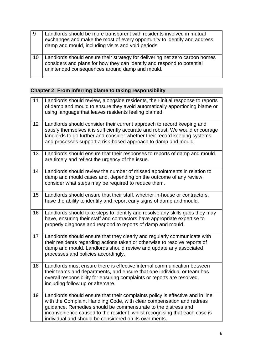| -9 | Landlords should be more transparent with residents involved in mutual<br>exchanges and make the most of every opportunity to identify and address<br>damp and mould, including visits and void periods. |
|----|----------------------------------------------------------------------------------------------------------------------------------------------------------------------------------------------------------|
| 10 | Landlords should ensure their strategy for delivering net zero carbon homes<br>considers and plans for how they can identify and respond to potential<br>unintended consequences around damp and mould.  |

### **Chapter 2: From inferring blame to taking responsibility**

| 11 | Landlords should review, alongside residents, their initial response to reports<br>of damp and mould to ensure they avoid automatically apportioning blame or<br>using language that leaves residents feeling blamed.                                                                                                                                           |
|----|-----------------------------------------------------------------------------------------------------------------------------------------------------------------------------------------------------------------------------------------------------------------------------------------------------------------------------------------------------------------|
| 12 | Landlords should consider their current approach to record keeping and<br>satisfy themselves it is sufficiently accurate and robust. We would encourage<br>landlords to go further and consider whether their record keeping systems<br>and processes support a risk-based approach to damp and mould.                                                          |
| 13 | Landlords should ensure that their responses to reports of damp and mould<br>are timely and reflect the urgency of the issue.                                                                                                                                                                                                                                   |
| 14 | Landlords should review the number of missed appointments in relation to<br>damp and mould cases and, depending on the outcome of any review,<br>consider what steps may be required to reduce them.                                                                                                                                                            |
| 15 | Landlords should ensure that their staff, whether in-house or contractors,<br>have the ability to identify and report early signs of damp and mould.                                                                                                                                                                                                            |
| 16 | Landlords should take steps to identify and resolve any skills gaps they may<br>have, ensuring their staff and contractors have appropriate expertise to<br>properly diagnose and respond to reports of damp and mould.                                                                                                                                         |
| 17 | Landlords should ensure that they clearly and regularly communicate with<br>their residents regarding actions taken or otherwise to resolve reports of<br>damp and mould. Landlords should review and update any associated<br>processes and policies accordingly.                                                                                              |
| 18 | Landlords must ensure there is effective internal communication between<br>their teams and departments, and ensure that one individual or team has<br>overall responsibility for ensuring complaints or reports are resolved,<br>including follow up or aftercare.                                                                                              |
| 19 | Landlords should ensure that their complaints policy is effective and in line<br>with the Complaint Handling Code, with clear compensation and redress<br>guidance. Remedies should be commensurate to the distress and<br>inconvenience caused to the resident, whilst recognising that each case is<br>individual and should be considered on its own merits. |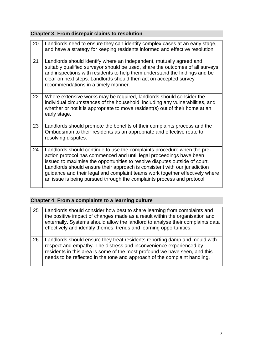### **Chapter 3: From disrepair claims to resolution**

| 20 | Landlords need to ensure they can identify complex cases at an early stage,<br>and have a strategy for keeping residents informed and effective resolution.                                                                                                                                                                                                                                                                                                          |
|----|----------------------------------------------------------------------------------------------------------------------------------------------------------------------------------------------------------------------------------------------------------------------------------------------------------------------------------------------------------------------------------------------------------------------------------------------------------------------|
| 21 | Landlords should identify where an independent, mutually agreed and<br>suitably qualified surveyor should be used, share the outcomes of all surveys<br>and inspections with residents to help them understand the findings and be<br>clear on next steps. Landlords should then act on accepted survey<br>recommendations in a timely manner.                                                                                                                       |
| 22 | Where extensive works may be required, landlords should consider the<br>individual circumstances of the household, including any vulnerabilities, and<br>whether or not it is appropriate to move resident(s) out of their home at an<br>early stage.                                                                                                                                                                                                                |
| 23 | Landlords should promote the benefits of their complaints process and the<br>Ombudsman to their residents as an appropriate and effective route to<br>resolving disputes.                                                                                                                                                                                                                                                                                            |
| 24 | Landlords should continue to use the complaints procedure when the pre-<br>action protocol has commenced and until legal proceedings have been<br>issued to maximise the opportunities to resolve disputes outside of court.<br>Landlords should ensure their approach is consistent with our jurisdiction<br>guidance and their legal and complaint teams work together effectively where<br>an issue is being pursued through the complaints process and protocol. |

### **Chapter 4: From a complaints to a learning culture**

| 25 | Landlords should consider how best to share learning from complaints and<br>the positive impact of changes made as a result within the organisation and<br>externally. Systems should allow the landlord to analyse their complaints data<br>effectively and identify themes, trends and learning opportunities. |
|----|------------------------------------------------------------------------------------------------------------------------------------------------------------------------------------------------------------------------------------------------------------------------------------------------------------------|
| 26 | Landlords should ensure they treat residents reporting damp and mould with<br>respect and empathy. The distress and inconvenience experienced by<br>residents in this area is some of the most profound we have seen, and this<br>needs to be reflected in the tone and approach of the complaint handling.      |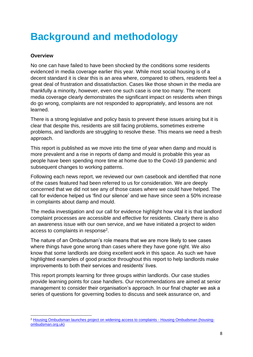# **Background and methodology**

#### **Overview**

No one can have failed to have been shocked by the conditions some residents evidenced in media coverage earlier this year. While most social housing is of a decent standard it is clear this is an area where, compared to others, residents feel a great deal of frustration and dissatisfaction. Cases like those shown in the media are thankfully a minority, however, even one such case is one too many. The recent media coverage clearly demonstrates the significant impact on residents when things do go wrong, complaints are not responded to appropriately, and lessons are not learned.

There is a strong legislative and policy basis to prevent these issues arising but it is clear that despite this, residents are still facing problems, sometimes extreme problems, and landlords are struggling to resolve these. This means we need a fresh approach.

This report is published as we move into the time of year when damp and mould is more prevalent and a rise in reports of damp and mould is probable this year as people have been spending more time at home due to the Covid-19 pandemic and subsequent changes to working patterns.

Following each news report, we reviewed our own casebook and identified that none of the cases featured had been referred to us for consideration. We are deeply concerned that we did not see any of those cases where we could have helped. The call for evidence helped us 'find our silence' and we have since seen a 50% increase in complaints about damp and mould.

The media investigation and our call for evidence highlight how vital it is that landlord complaint processes are accessible and effective for residents. Clearly there is also an awareness issue with our own service, and we have initiated a project to widen access to complaints in response<sup>2</sup>.

The nature of an Ombudsman's role means that we are more likely to see cases where things have gone wrong than cases where they have gone right. We also know that some landlords are doing excellent work in this space. As such we have highlighted examples of good practice throughout this report to help landlords make improvements to both their services and residents' lives.

This report prompts learning for three groups within landlords. Our case studies provide learning points for case handlers. Our recommendations are aimed at senior management to consider their organisation's approach. In our final chapter we ask a series of questions for governing bodies to discuss and seek assurance on, and

<sup>&</sup>lt;sup>2</sup> [Housing Ombudsman launches project on widening access to complaints -](https://www.housing-ombudsman.org.uk/2021/09/08/housing-ombudsman-launches-project-on-widening-access-to-complaints/) Housing Ombudsman (housing[ombudsman.org.uk\)](https://www.housing-ombudsman.org.uk/2021/09/08/housing-ombudsman-launches-project-on-widening-access-to-complaints/)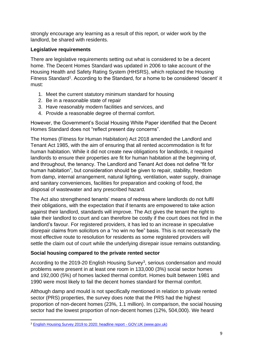strongly encourage any learning as a result of this report, or wider work by the landlord, be shared with residents.

#### **Legislative requirements**

There are legislative requirements setting out what is considered to be a decent home. The Decent Homes Standard was updated in 2006 to take account of the Housing Health and Safety Rating System (HHSRS), which replaced the Housing Fitness Standard<sup>1</sup>. According to the Standard, for a home to be considered 'decent' it must:

- 1. Meet the current statutory minimum standard for housing
- 2. Be in a reasonable state of repair
- 3. Have reasonably modern facilities and services, and
- 4. Provide a reasonable degree of thermal comfort.

However, the Government's Social Housing White Paper identified that the Decent Homes Standard does not "reflect present day concerns".

The Homes (Fitness for Human Habitation) Act 2018 amended the Landlord and Tenant Act 1985, with the aim of ensuring that all rented accommodation is fit for human habitation. While it did not create new obligations for landlords, it required landlords to ensure their properties are fit for human habitation at the beginning of, and throughout, the tenancy. The Landlord and Tenant Act does not define "fit for human habitation", but consideration should be given to repair, stability, freedom from damp, internal arrangement, natural lighting, ventilation, water supply, drainage and sanitary conveniences, facilities for preparation and cooking of food, the disposal of wastewater and any prescribed hazard.

The Act also strengthened tenants' means of redress where landlords do not fulfil their obligations, with the expectation that if tenants are empowered to take action against their landlord, standards will improve. The Act gives the tenant the right to take their landlord to court and can therefore be costly if the court does not find in the landlord's favour. For registered providers, it has led to an increase in speculative disrepair claims from solicitors on a "no win no fee" basis. This is not necessarily the most effective route to resolution for residents as some registered providers will settle the claim out of court while the underlying disrepair issue remains outstanding.

#### **Social housing compared to the private rented sector**

According to the 2019-20 English Housing Survey<sup>3</sup>, serious condensation and mould problems were present in at least one room in 133,000 (3%) social sector homes and 192,000 (5%) of homes lacked thermal comfort. Homes built between 1981 and 1990 were most likely to fail the decent homes standard for thermal comfort.

Although damp and mould is not specifically mentioned in relation to private rented sector (PRS) properties, the survey does note that the PRS had the highest proportion of non-decent homes (23%, 1.1 million). In comparison, the social housing sector had the lowest proportion of non-decent homes (12%, 504,000). We heard

<sup>&</sup>lt;sup>3</sup> [English Housing Survey 2019 to 2020: headline report -](https://www.gov.uk/government/statistics/english-housing-survey-2019-to-2020-headline-report) GOV.UK (www.gov.uk)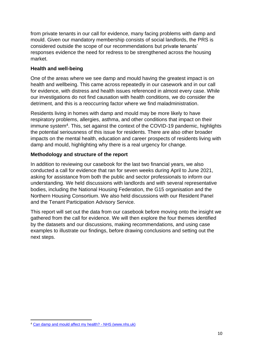from private tenants in our call for evidence, many facing problems with damp and mould. Given our mandatory membership consists of social landlords, the PRS is considered outside the scope of our recommendations but private tenants' responses evidence the need for redress to be strengthened across the housing market.

#### **Health and well-being**

One of the areas where we see damp and mould having the greatest impact is on health and wellbeing. This came across repeatedly in our casework and in our call for evidence, with distress and health issues referenced in almost every case. While our investigations do not find causation with health conditions, we do consider the detriment, and this is a reoccurring factor where we find maladministration.

Residents living in homes with damp and mould may be more likely to have respiratory problems, allergies, asthma, and other conditions that impact on their immune system<sup>4</sup>. This, set against the context of the COVID-19 pandemic, highlights the potential seriousness of this issue for residents. There are also other broader impacts on the mental health, education and career prospects of residents living with damp and mould, highlighting why there is a real urgency for change.

#### **Methodology and structure of the report**

In addition to reviewing our casebook for the last two financial years, we also conducted a call for evidence that ran for seven weeks during April to June 2021, asking for assistance from both the public and sector professionals to inform our understanding. We held discussions with landlords and with several representative bodies, including the National Housing Federation, the G15 organisation and the Northern Housing Consortium. We also held discussions with our Resident Panel and the Tenant Participation Advisory Service.

This report will set out the data from our casebook before moving onto the insight we gathered from the call for evidence. We will then explore the four themes identified by the datasets and our discussions, making recommendations, and using case examples to illustrate our findings, before drawing conclusions and setting out the next steps.

<sup>4</sup> [Can damp and mould affect my health? -](https://www.nhs.uk/common-health-questions/lifestyle/can-damp-and-mould-affect-my-health/) NHS (www.nhs.uk)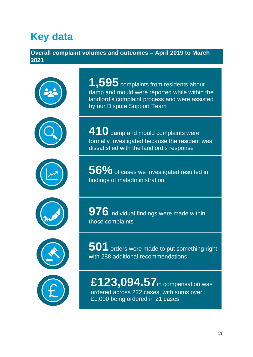# **Key data**

### **Overall complaint volumes and outcomes – April 2019 to March 2021**













1,595 complaints from residents about damp and mould were reported while within the landlord's complaint process and were assisted by our Dispute Support Team

**410** damp and mould complaints were formally investigated because the resident was dissatisfied with the landlord's response

**56%** of cases we investigated resulted in findings of maladministration

**976** individual findings were made within those complaints

**501** orders were made to put something right with 288 additional recommendations

**£123,094.57**in compensation was ordered across 222 cases, with sums over £1,000 being ordered in 21 cases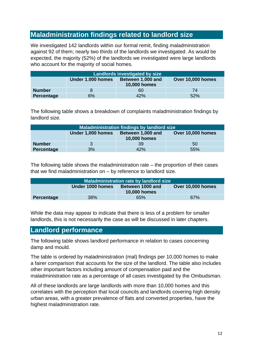### **Maladministration findings related to landlord size**

We investigated 142 landlords within our formal remit, finding maladministration against 92 of them; nearly two thirds of the landlords we investigated. As would be expected, the majority (52%) of the landlords we investigated were large landlords who account for the majority of social homes.

| Landlords investigated by size                                                     |    |     |     |  |  |
|------------------------------------------------------------------------------------|----|-----|-----|--|--|
| Over 10,000 homes<br>Under 1,000 homes<br>Between 1,000 and<br><b>10,000 homes</b> |    |     |     |  |  |
| <b>Number</b>                                                                      |    | 60  | 74  |  |  |
| Percentage                                                                         | 6% | 42% | 52% |  |  |

The following table shows a breakdown of complaints maladministration findings by landlord size.

| Maladministration findings by landlord size                                        |    |     |     |  |
|------------------------------------------------------------------------------------|----|-----|-----|--|
| Under 1,000 homes<br>Over 10,000 homes<br>Between 1,000 and<br><b>10,000 homes</b> |    |     |     |  |
| <b>Number</b>                                                                      |    | 39  | 50  |  |
| Percentage                                                                         | 3% | 42% | 55% |  |

The following table shows the maladministration rate – the proportion of their cases that we find maladministration on – by reference to landlord size.

| <b>Maladministration rate by landlord size</b>                                   |  |  |  |  |  |
|----------------------------------------------------------------------------------|--|--|--|--|--|
| Under 1000 homes<br>Over 10,000 homes<br>Between 1000 and<br><b>10,000 homes</b> |  |  |  |  |  |
| 38%<br>67%<br>65%<br>Percentage                                                  |  |  |  |  |  |

While the data may appear to indicate that there is less of a problem for smaller landlords, this is not necessarily the case as will be discussed in later chapters.

### **Landlord performance**

The following table shows landlord performance in relation to cases concerning damp and mould.

The table is ordered by maladministration (mal) findings per 10,000 homes to make a fairer comparison that accounts for the size of the landlord. The table also includes other important factors including amount of compensation paid and the maladministration rate as a percentage of all cases investigated by the Ombudsman.

All of these landlords are large landlords with more than 10,000 homes and this correlates with the perception that local councils and landlords covering high density urban areas, with a greater prevalence of flats and converted properties, have the highest maladministration rate.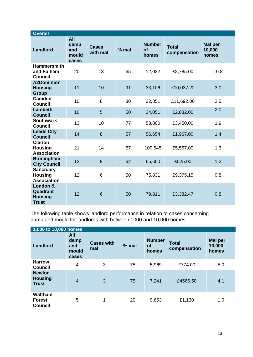| <b>Overall</b>                                           |                                      |                          |         |                                     |                              |                                   |
|----------------------------------------------------------|--------------------------------------|--------------------------|---------|-------------------------------------|------------------------------|-----------------------------------|
| <b>Landlord</b>                                          | All<br>damp<br>and<br>mould<br>cases | <b>Cases</b><br>with mal | $%$ mal | <b>Number</b><br><b>of</b><br>homes | <b>Total</b><br>compensation | <b>Mal per</b><br>10,000<br>homes |
| <b>Hammersmith</b><br>and Fulham<br><b>Council</b>       | 20                                   | 13                       | 65      | 12,022                              | £8,785.00                    | 10.8                              |
| <b>A2Dominion</b><br><b>Housing</b><br><b>Group</b>      | 11                                   | 10                       | 91      | 33,106                              | £10,037.22                   | 3.0                               |
| Camden<br><b>Council</b>                                 | 10                                   | 8                        | 80      | 32,351                              | £11,692.00                   | 2.5                               |
| <b>Lambeth</b><br><b>Council</b>                         | 10                                   | 5                        | 50      | 24,051                              | £2,882.00                    | 2.0                               |
| <b>Southwark</b><br><b>Council</b>                       | 13                                   | 10                       | 77      | 53,800                              | £3,450.00                    | 1.9                               |
| <b>Leeds City</b><br><b>Council</b>                      | 14                                   | 8                        | 57      | 56,654                              | £1,967.00                    | 1.4                               |
| <b>Clarion</b><br><b>Housing</b><br><b>Association</b>   | 21                                   | 14                       | 67      | 109,545                             | £5,557.00                    | 1.3                               |
| <b>Birmingham</b><br><b>City Council</b>                 | 13                                   | 8                        | 62      | 65,600                              | £525.00                      | 1.2                               |
| <b>Sanctuary</b><br><b>Housing</b><br><b>Association</b> | 12                                   | 6                        | 50      | 75,831                              | £9,375.15                    | 0.8                               |
| London &<br>Quadrant<br><b>Housing</b><br><b>Trust</b>   | 12                                   | 6                        | 50      | 79,811                              | £3,382.47                    | 0.8                               |

The following table shows landlord performance in relation to cases concerning damp and mould for landlords with between 1000 and 10,000 homes.

| 1,000 to 10,000 homes                           |                                      |                          |         |                                     |                              |                                   |
|-------------------------------------------------|--------------------------------------|--------------------------|---------|-------------------------------------|------------------------------|-----------------------------------|
| Landlord                                        | All<br>damp<br>and<br>mould<br>cases | <b>Cases with</b><br>mal | $%$ mal | <b>Number</b><br><b>of</b><br>homes | <b>Total</b><br>compensation | <b>Mal</b> per<br>10,000<br>homes |
| <b>Harrow</b><br><b>Council</b>                 | 4                                    | 3                        | 75      | 5,969                               | £774.00                      | 5.0                               |
| <b>Newlon</b><br><b>Housing</b><br><b>Trust</b> | $\overline{4}$                       | 3                        | 75      | 7,241                               | £4566.50                     | 4.1                               |
| Waltham<br><b>Forest</b><br><b>Council</b>      | 5                                    | 1                        | 20      | 9,653                               | £1,130                       | 1.0                               |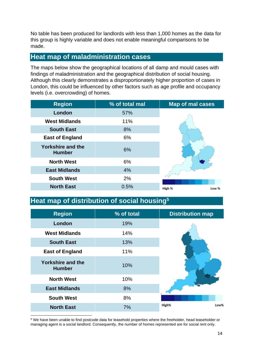No table has been produced for landlords with less than 1,000 homes as the data for this group is highly variable and does not enable meaningful comparisons to be made.

### **Heat map of maladministration cases**

The maps below show the geographical locations of all damp and mould cases with findings of maladministration and the geographical distribution of social housing. Although this clearly demonstrates a disproportionately higher proportion of cases in London, this could be influenced by other factors such as age profile and occupancy levels (i.e. overcrowding) of homes.

| <b>Region</b>                             | % of total mal | <b>Map of mal cases</b> |
|-------------------------------------------|----------------|-------------------------|
| London                                    | 57%            |                         |
| <b>West Midlands</b>                      | 11%            |                         |
| <b>South East</b>                         | 8%             |                         |
| <b>East of England</b>                    | 6%             |                         |
| <b>Yorkshire and the</b><br><b>Humber</b> | 6%             |                         |
| <b>North West</b>                         | 6%             |                         |
| <b>East Midlands</b>                      | 4%             |                         |
| <b>South West</b>                         | 2%             |                         |
| <b>North East</b>                         | 0.5%           | High %<br>Low %         |

## **Heat map of distribution of social housing<sup>5</sup>**

| <b>Region</b>                             | % of total | <b>Distribution map</b> |
|-------------------------------------------|------------|-------------------------|
| London                                    | 19%        |                         |
| <b>West Midlands</b>                      | 14%        |                         |
| <b>South East</b>                         | 13%        |                         |
| <b>East of England</b>                    | 11%        |                         |
| <b>Yorkshire and the</b><br><b>Humber</b> | 10%        |                         |
| <b>North West</b>                         | 10%        |                         |
| <b>East Midlands</b>                      | 8%         |                         |
| <b>South West</b>                         | 8%         |                         |
| <b>North East</b>                         | 7%         | Low%<br>High%           |

<sup>5</sup> We have been unable to find postcode data for leasehold properties where the freeholder, head leaseholder or managing agent is a social landlord. Consequently, the number of homes represented are for social rent only.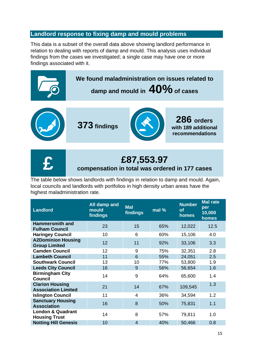### **Landlord response to fixing damp and mould problems**

This data is a subset of the overall data above showing landlord performance in relation to dealing with reports of damp and mould. This analysis uses individual findings from the cases we investigated; a single case may have one or more findings associated with it.







# **£87,553.97**

### **compensation in total was ordered in 177 cases**

The table below shows landlords with findings in relation to damp and mould. Again, local councils and landlords with portfolios in high density urban areas have the highest maladministration rate.

| <b>Landlord</b>                                      | All damp and<br>mould<br>findings | <b>Mal</b><br>findings | mal % | <b>Number</b><br><b>of</b><br>homes | <b>Mal rate</b><br>per<br>10,000<br>homes |
|------------------------------------------------------|-----------------------------------|------------------------|-------|-------------------------------------|-------------------------------------------|
| <b>Hammersmith and</b><br><b>Fulham Council</b>      | 23                                | 15                     | 65%   | 12,022                              | 12.5                                      |
| <b>Haringey Council</b>                              | 10                                | 6                      | 60%   | 15,106                              | 4.0                                       |
| <b>A2Dominion Housing</b><br><b>Group Limited</b>    | 12                                | 11                     | 92%   | 33,106                              | 3.3                                       |
| <b>Camden Council</b>                                | 12                                | 9                      | 75%   | 32,351                              | 2.8                                       |
| <b>Lambeth Council</b>                               | 11                                | 6                      | 55%   | 24,051                              | 2.5                                       |
| <b>Southwark Council</b>                             | 13                                | 10                     | 77%   | 53,800                              | 1.9                                       |
| <b>Leeds City Council</b>                            | 16                                | 9                      | 56%   | 56,654                              | 1.6                                       |
| <b>Birmingham City</b><br><b>Council</b>             | 14                                | 9                      | 64%   | 65,600                              | 1.4                                       |
| <b>Clarion Housing</b><br><b>Association Limited</b> | 21                                | 14                     | 67%   | 109,545                             | 1.3                                       |
| <b>Islington Council</b>                             | 11                                | $\overline{4}$         | 36%   | 34,594                              | 1.2                                       |
| <b>Sanctuary Housing</b><br><b>Association</b>       | 16                                | 8                      | 50%   | 75,831                              | 1.1                                       |
| <b>London &amp; Quadrant</b><br><b>Housing Trust</b> | 14                                | 8                      | 57%   | 79,811                              | 1.0                                       |
| <b>Notting Hill Genesis</b>                          | 10                                | $\overline{4}$         | 40%   | 50,466                              | 0.8                                       |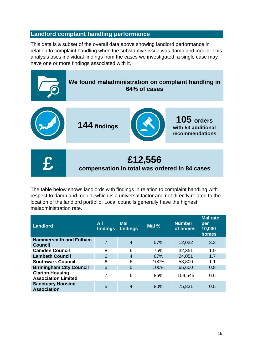### **Landlord complaint handling performance**

This data is a subset of the overall data above showing landlord performance in relation to complaint handling when the substantive issue was damp and mould. This analysis uses individual findings from the cases we investigated; a single case may have one or more findings associated with it.



The table below shows landlords with findings in relation to complaint handling with respect to damp and mould, which is a universal factor and not directly related to the location of the landlord portfolio. Local councils generally have the highest maladministration rate.

| <b>Landlord</b>                                      | <b>All</b><br>findings | <b>Mal</b><br>findings | Mal % | <b>Number</b><br>of homes | <b>Mal rate</b><br>per<br>10,000<br>homes |
|------------------------------------------------------|------------------------|------------------------|-------|---------------------------|-------------------------------------------|
| <b>Hammersmith and Fulham</b><br><b>Council</b>      | 7                      | 4                      | 57%   | 12,022                    | 3.3                                       |
| <b>Camden Council</b>                                | 8                      | 6                      | 75%   | 32,351                    | 1.9                                       |
| <b>Lambeth Council</b>                               | 6                      | 4                      | 67%   | 24,051                    | 1.7                                       |
| <b>Southwark Council</b>                             | 6                      | 6                      | 100%  | 53,800                    | 1.1                                       |
| <b>Birmingham City Council</b>                       | 5                      | 5                      | 100%  | 65,600                    | 0.8                                       |
| <b>Clarion Housing</b><br><b>Association Limited</b> |                        | 6                      | 86%   | 109,545                   | 0.6                                       |
| <b>Sanctuary Housing</b><br><b>Association</b>       | 5                      | 4                      | 80%   | 75,831                    | 0.5                                       |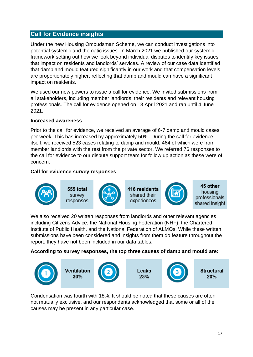### **Call for Evidence insights**

Under the new Housing Ombudsman Scheme, we can conduct investigations into potential systemic and thematic issues. In March 2021 we published our systemic framework setting out how we look beyond individual disputes to identify key issues that impact on residents and landlords' services. A review of our case data identified that damp and mould featured significantly in our work and that compensation levels are proportionately higher, reflecting that damp and mould can have a significant impact on residents.

We used our new powers to issue a call for evidence. We invited submissions from all stakeholders, including member landlords, their residents and relevant housing professionals. The call for evidence opened on 13 April 2021 and ran until 4 June 2021.

#### **Increased awareness**

Prior to the call for evidence, we received an average of 6-7 damp and mould cases per week. This has increased by approximately 50%. During the call for evidence itself, we received 523 cases relating to damp and mould, 464 of which were from member landlords with the rest from the private sector. We referred 76 responses to the call for evidence to our dispute support team for follow up action as these were of concern.

#### **Call for evidence survey responses**



We also received 20 written responses from landlords and other relevant agencies including Citizens Advice, the National Housing Federation (NHF), the Chartered Institute of Public Health, and the National Federation of ALMOs. While these written submissions have been considered and insights from them do feature throughout the report, they have not been included in our data tables.

**According to survey responses, the top three causes of damp and mould are:** 



Condensation was fourth with 18%. It should be noted that these causes are often not mutually exclusive, and our respondents acknowledged that some or all of the causes may be present in any particular case.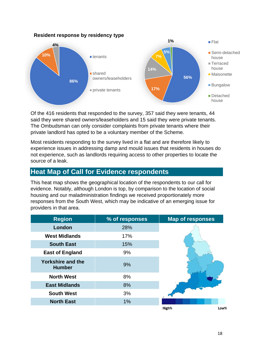#### **Resident response by residency type**



Of the 416 residents that responded to the survey, 357 said they were tenants, 44 said they were shared owners/leaseholders and 15 said they were private tenants. The Ombudsman can only consider complaints from private tenants where their private landlord has opted to be a voluntary member of the Scheme.

Most residents responding to the survey lived in a flat and are therefore likely to experience issues in addressing damp and mould issues that residents in houses do not experience, such as landlords requiring access to other properties to locate the source of a leak.

### **Heat Map of Call for Evidence respondents**

This heat map shows the geographical location of the respondents to our call for evidence. Notably, although London is top, by comparison to the location of social housing and our maladministration findings we received proportionately more responses from the South West, which may be indicative of an emerging issue for providers in that area.

| <b>Region</b>                             | % of responses | <b>Map of responses</b> |
|-------------------------------------------|----------------|-------------------------|
| London                                    | 28%            |                         |
| <b>West Midlands</b>                      | 17%            |                         |
| <b>South East</b>                         | 15%            |                         |
| <b>East of England</b>                    | 9%             |                         |
| <b>Yorkshire and the</b><br><b>Humber</b> | 9%             |                         |
| <b>North West</b>                         | 8%             |                         |
| <b>East Midlands</b>                      | 8%             |                         |
| <b>South West</b>                         | 3%             |                         |
| <b>North East</b>                         | 1%             |                         |
|                                           |                | High%<br>Low%           |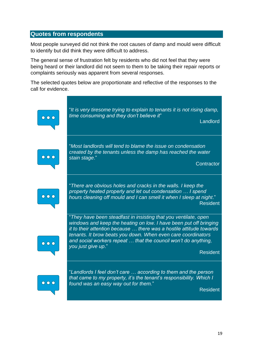#### **Quotes from respondents**

Most people surveyed did not think the root causes of damp and mould were difficult to identify but did think they were difficult to address.

The general sense of frustration felt by residents who did not feel that they were being heard or their landlord did not seem to them to be taking their repair reports or complaints seriously was apparent from several responses.

The selected quotes below are proportionate and reflective of the responses to the call for evidence.

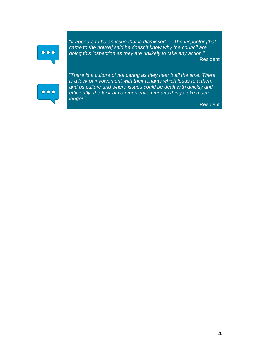# $\bullet$   $\bullet$   $\bullet$

"*It appears to be an issue that is dismissed … The inspector [that came to the house] said he doesn't know why the council are doing this inspection as they are unlikely to take any action*." Resident



"*There is a culture of not caring as they hear it all the time. There is a lack of involvement with their tenants which leads to a them and us culture and where issues could be dealt with quickly and efficiently, the lack of communication means things take much longer*."

Resident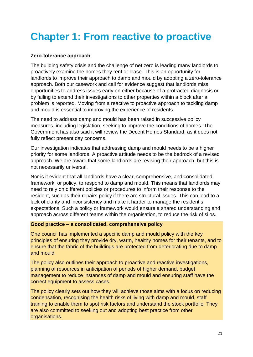# **Chapter 1: From reactive to proactive**

#### **Zero-tolerance approach**

The building safety crisis and the challenge of net zero is leading many landlords to proactively examine the homes they rent or lease. This is an opportunity for landlords to improve their approach to damp and mould by adopting a zero-tolerance approach. Both our casework and call for evidence suggest that landlords miss opportunities to address issues early on either because of a protracted diagnosis or by failing to extend their investigations to other properties within a block after a problem is reported. Moving from a reactive to proactive approach to tackling damp and mould is essential to improving the experience of residents.

The need to address damp and mould has been raised in successive policy measures, including legislation, seeking to improve the conditions of homes. The Government has also said it will review the Decent Homes Standard, as it does not fully reflect present day concerns.

Our investigation indicates that addressing damp and mould needs to be a higher priority for some landlords. A proactive attitude needs to be the bedrock of a revised approach. We are aware that some landlords are revising their approach, but this is not necessarily universal.

Nor is it evident that all landlords have a clear, comprehensive, and consolidated framework, or policy, to respond to damp and mould. This means that landlords may need to rely on different policies or procedures to inform their response to the resident, such as their repairs policy if there are structural issues. This can lead to a lack of clarity and inconsistency and make it harder to manage the resident's expectations. Such a policy or framework would ensure a shared understanding and approach across different teams within the organisation, to reduce the risk of silos.

#### **Good practice – a consolidated, comprehensive policy**

One council has implemented a specific damp and mould policy with the key principles of ensuring they provide dry, warm, healthy homes for their tenants, and to ensure that the fabric of the buildings are protected from deteriorating due to damp and mould.

The policy also outlines their approach to proactive and reactive investigations, planning of resources in anticipation of periods of higher demand, budget management to reduce instances of damp and mould and ensuring staff have the correct equipment to assess cases.

The policy clearly sets out how they will achieve those aims with a focus on reducing condensation, recognising the health risks of living with damp and mould, staff training to enable them to spot risk factors and understand the stock portfolio. They are also committed to seeking out and adopting best practice from other organisations.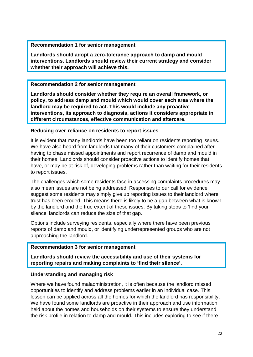#### **Recommendation 1 for senior management**

**Landlords should adopt a zero-tolerance approach to damp and mould interventions. Landlords should review their current strategy and consider whether their approach will achieve this.**

#### **Recommendation 2 for senior management**

**Landlords should consider whether they require an overall framework, or policy, to address damp and mould which would cover each area where the landlord may be required to act. This would include any proactive interventions, its approach to diagnosis, actions it considers appropriate in different circumstances, effective communication and aftercare.**

#### **Reducing over-reliance on residents to report issues**

It is evident that many landlords have been too reliant on residents reporting issues. We have also heard from landlords that many of their customers complained after having to chase missed appointments and report recurrence of damp and mould in their homes. Landlords should consider proactive actions to identify homes that have, or may be at risk of, developing problems rather than waiting for their residents to report issues.

The challenges which some residents face in accessing complaints procedures may also mean issues are not being addressed. Responses to our call for evidence suggest some residents may simply give up reporting issues to their landlord where trust has been eroded. This means there is likely to be a gap between what is known by the landlord and the true extent of these issues. By taking steps to 'find your silence' landlords can reduce the size of that gap.

Options include surveying residents, especially where there have been previous reports of damp and mould, or identifying underrepresented groups who are not approaching the landlord.

#### **Recommendation 3 for senior management**

**Landlords should review the accessibility and use of their systems for reporting repairs and making complaints to 'find their silence'.**

#### **Understanding and managing risk**

Where we have found maladministration, it is often because the landlord missed opportunities to identify and address problems earlier in an individual case. This lesson can be applied across all the homes for which the landlord has responsibility. We have found some landlords are proactive in their approach and use information held about the homes and households on their systems to ensure they understand the risk profile in relation to damp and mould. This includes exploring to see if there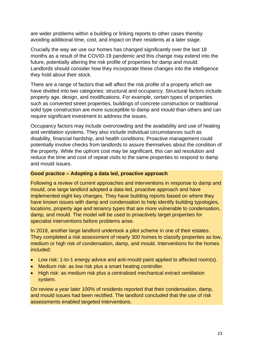are wider problems within a building or linking reports to other cases thereby avoiding additional time, cost, and impact on their residents at a later stage.

Crucially the way we use our homes has changed significantly over the last 18 months as a result of the COVID-19 pandemic and this change may extend into the future, potentially altering the risk profile of properties for damp and mould. Landlords should consider how they incorporate these changes into the intelligence they hold about their stock.

There are a range of factors that will affect the risk profile of a property which we have divided into two categories: structural and occupancy. Structural factors include property age, design, and modifications. For example, certain types of properties such as converted street properties, buildings of concrete construction or traditional solid type construction are more susceptible to damp and mould than others and can require significant investment to address the issues.

Occupancy factors may include overcrowding and the availability and use of heating and ventilation systems. They also include individual circumstances such as disability, financial hardship, and health conditions. Proactive management could potentially involve checks from landlords to assure themselves about the condition of the property. While the upfront cost may be significant, this can aid resolution and reduce the time and cost of repeat visits to the same properties to respond to damp and mould issues.

#### **Good practice – Adopting a data led, proactive approach**

Following a review of current approaches and interventions in response to damp and mould, one large landlord adopted a data-led, proactive approach and have implemented eight key changes. They have building reports based on where they have known issues with damp and condensation to help identify building typologies, locations, property age and tenancy types that are more vulnerable to condensation, damp, and mould. The model will be used to proactively target properties for specialist interventions before problems arise.

In 2018, another large landlord undertook a pilot scheme in one of their estates. They completed a risk assessment of nearly 300 homes to classify properties as low, medium or high risk of condensation, damp, and mould. Interventions for the homes included:

- Low risk: 1-to-1 energy advice and anti-mould paint applied to affected room(s).
- Medium risk: as low risk plus a smart heating controller.
- High risk: as medium risk plus a centralised mechanical extract ventilation system.

On review a year later 100% of residents reported that their condensation, damp, and mould issues had been rectified. The landlord concluded that the use of risk assessments enabled targeted interventions.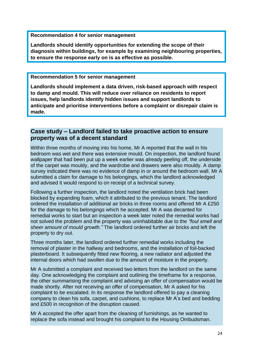**Recommendation 4 for senior management**

**Landlords should identify opportunities for extending the scope of their diagnosis within buildings, for example by examining neighbouring properties, to ensure the response early on is as effective as possible.**

#### **Recommendation 5 for senior management**

**Landlords should implement a data driven, risk-based approach with respect to damp and mould. This will reduce over reliance on residents to report issues, help landlords identify hidden issues and support landlords to anticipate and prioritise interventions before a complaint or disrepair claim is made.**

#### **Case study – Landlord failed to take proactive action to ensure property was of a decent standard**

Within three months of moving into his home, Mr A reported that the wall in his bedroom was wet and there was extensive mould. On inspection, the landlord found wallpaper that had been put up a week earlier was already peeling off, the underside of the carpet was mouldy, and the wardrobe and drawers were also mouldy. A damp survey indicated there was no evidence of damp in or around the bedroom wall. Mr A submitted a claim for damage to his belongings, which the landlord acknowledged and advised it would respond to on receipt of a technical survey.

Following a further inspection, the landlord noted the ventilation brick had been blocked by expanding foam, which it attributed to the previous tenant. The landlord ordered the installation of additional air bricks in three rooms and offered Mr A £250 for the damage to his belongings which he accepted. Mr A was decanted for remedial works to start but an inspection a week later noted the remedial works had not solved the problem and the property was uninhabitable due to the *"foul smell and sheer amount of mould growth."* The landlord ordered further air bricks and left the property to dry out.

Three months later, the landlord ordered further remedial works including the removal of plaster in the hallway and bedrooms, and the installation of foil-backed plasterboard. It subsequently fitted new flooring, a new radiator and adjusted the internal doors which had swollen due to the amount of moisture in the property.

Mr A submitted a complaint and received two letters from the landlord on the same day. One acknowledging the complaint and outlining the timeframe for a response, the other summarising the complaint and advising an offer of compensation would be made shortly. After not receiving an offer of compensation, Mr A asked for his complaint to be escalated. In its response the landlord offered to pay a cleaning company to clean his sofa, carpet, and cushions, to replace Mr A's bed and bedding and £500 in recognition of the disruption caused.

Mr A accepted the offer apart from the cleaning of furnishings, as he wanted to replace the sofa instead and brought his complaint to the Housing Ombudsman.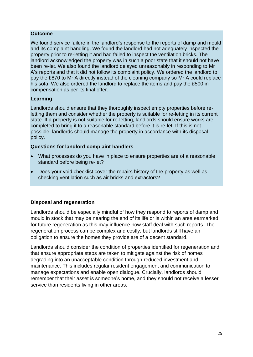#### **Outcome**

We found service failure in the landlord's response to the reports of damp and mould and its complaint handling. We found the landlord had not adequately inspected the property prior to re-letting it and had failed to inspect the ventilation bricks. The landlord acknowledged the property was in such a poor state that it should not have been re-let. We also found the landlord delayed unreasonably in responding to Mr A's reports and that it did not follow its complaint policy. We ordered the landlord to pay the £870 to Mr A directly instead of the cleaning company so Mr A could replace his sofa. We also ordered the landlord to replace the items and pay the £500 in compensation as per its final offer.

#### **Learning**

Landlords should ensure that they thoroughly inspect empty properties before reletting them and consider whether the property is suitable for re-letting in its current state. If a property is not suitable for re-letting, landlords should ensure works are completed to bring it to a reasonable standard before it is re-let. If this is not possible, landlords should manage the property in accordance with its disposal policy.

#### **Questions for landlord complaint handlers**

- What processes do you have in place to ensure properties are of a reasonable standard before being re-let?
- Does your void checklist cover the repairs history of the property as well as checking ventilation such as air bricks and extractors?

#### **Disposal and regeneration**

Landlords should be especially mindful of how they respond to reports of damp and mould in stock that may be nearing the end of its life or is within an area earmarked for future regeneration as this may influence how staff deal with such reports. The regeneration process can be complex and costly, but landlords still have an obligation to ensure the homes they provide are of a decent standard.

Landlords should consider the condition of properties identified for regeneration and that ensure appropriate steps are taken to mitigate against the risk of homes degrading into an unacceptable condition through reduced investment and maintenance. This includes regular resident engagement and communication to manage expectations and enable open dialogue. Crucially, landlords should remember that their asset is someone's home, and they should not receive a lesser service than residents living in other areas.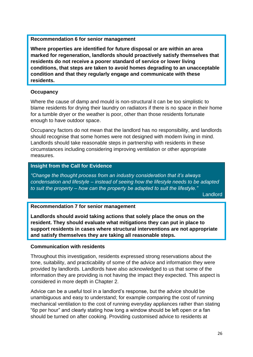#### **Recommendation 6 for senior management**

**Where properties are identified for future disposal or are within an area marked for regeneration, landlords should proactively satisfy themselves that residents do not receive a poorer standard of service or lower living conditions, that steps are taken to avoid homes degrading to an unacceptable condition and that they regularly engage and communicate with these residents.** 

#### **Occupancy**

Where the cause of damp and mould is non-structural it can be too simplistic to blame residents for drying their laundry on radiators if there is no space in their home for a tumble dryer or the weather is poor, other than those residents fortunate enough to have outdoor space.

Occupancy factors do not mean that the landlord has no responsibility, and landlords should recognise that some homes were not designed with modern living in mind. Landlords should take reasonable steps in partnership with residents in these circumstances including considering improving ventilation or other appropriate measures.

#### **Insight from the Call for Evidence**

*"Change the thought process from an industry consideration that it's always condensation and lifestyle – instead of seeing how the lifestyle needs to be adapted to suit the property – how can the property be adapted to suit the lifestyle."*

Landlord

#### **Recommendation 7 for senior management**

**Landlords should avoid taking actions that solely place the onus on the resident. They should evaluate what mitigations they can put in place to support residents in cases where structural interventions are not appropriate and satisfy themselves they are taking all reasonable steps.** 

#### **Communication with residents**

Throughout this investigation, residents expressed strong reservations about the tone, suitability, and practicability of some of the advice and information they were provided by landlords. Landlords have also acknowledged to us that some of the information they are providing is not having the impact they expected. This aspect is considered in more depth in Chapter 2.

Advice can be a useful tool in a landlord's response, but the advice should be unambiguous and easy to understand; for example comparing the cost of running mechanical ventilation to the cost of running everyday appliances rather than stating "6p per hour" and clearly stating how long a window should be left open or a fan should be turned on after cooking. Providing customised advice to residents at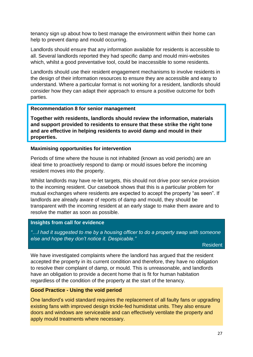tenancy sign up about how to best manage the environment within their home can help to prevent damp and mould occurring.

Landlords should ensure that any information available for residents is accessible to all. Several landlords reported they had specific damp and mould mini-websites which, whilst a good preventative tool, could be inaccessible to some residents.

Landlords should use their resident engagement mechanisms to involve residents in the design of their information resources to ensure they are accessible and easy to understand. Where a particular format is not working for a resident, landlords should consider how they can adapt their approach to ensure a positive outcome for both parties.

#### **Recommendation 8 for senior management**

**Together with residents, landlords should review the information, materials and support provided to residents to ensure that these strike the right tone and are effective in helping residents to avoid damp and mould in their properties.** 

#### **Maximising opportunities for intervention**

Periods of time where the house is not inhabited (known as void periods) are an ideal time to proactively respond to damp or mould issues before the incoming resident moves into the property.

Whilst landlords may have re-let targets, this should not drive poor service provision to the incoming resident. Our casebook shows that this is a particular problem for mutual exchanges where residents are expected to accept the property "as seen". If landlords are already aware of reports of damp and mould, they should be transparent with the incoming resident at an early stage to make them aware and to resolve the matter as soon as possible.

#### **Insights from call for evidence**

*"…I had it suggested to me by a housing officer to do a property swap with someone else and hope they don't notice it. Despicable."* 

Resident

We have investigated complaints where the landlord has argued that the resident accepted the property in its current condition and therefore, they have no obligation to resolve their complaint of damp, or mould. This is unreasonable, and landlords have an obligation to provide a decent home that is fit for human habitation regardless of the condition of the property at the start of the tenancy.

#### **Good Practice - Using the void period**

One landlord's void standard requires the replacement of all faulty fans or upgrading existing fans with improved design trickle-fed humidistat units. They also ensure doors and windows are serviceable and can effectively ventilate the property and apply mould treatments where necessary.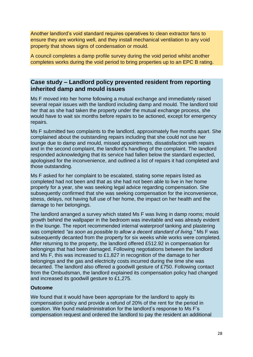Another landlord's void standard requires operatives to clean extractor fans to ensure they are working well, and they install mechanical ventilation to any void property that shows signs of condensation or mould.

A council completes a damp profile survey during the void period whilst another completes works during the void period to bring properties up to an EPC B rating.

#### **Case study – Landlord policy prevented resident from reporting inherited damp and mould issues**

Ms F moved into her home following a mutual exchange and immediately raised several repair issues with the landlord including damp and mould. The landlord told her that as she had taken the property under the mutual exchange process, she would have to wait six months before repairs to be actioned, except for emergency repairs.

Ms F submitted two complaints to the landlord, approximately five months apart. She complained about the outstanding repairs including that she could not use her lounge due to damp and mould, missed appointments, dissatisfaction with repairs and in the second complaint, the landlord's handling of the complaint. The landlord responded acknowledging that its service had fallen below the standard expected, apologised for the inconvenience, and outlined a list of repairs it had completed and those outstanding.

Ms F asked for her complaint to be escalated, stating some repairs listed as completed had not been and that as she had not been able to live in her home properly for a year, she was seeking legal advice regarding compensation. She subsequently confirmed that she was seeking compensation for the inconvenience, stress, delays, not having full use of her home, the impact on her health and the damage to her belongings.

The landlord arranged a survey which stated Ms F was living in damp rooms; mould growth behind the wallpaper in the bedroom was inevitable and was already evident in the lounge. The report recommended internal waterproof tanking and plastering was completed *"as soon as possible to allow a decent standard of living."* Ms F was subsequently decanted from the property for six weeks while works were completed. After returning to the property, the landlord offered £512.92 in compensation for belongings that had been damaged. Following negotiations between the landlord and Ms F, this was increased to £1,827 in recognition of the damage to her belongings and the gas and electricity costs incurred during the time she was decanted. The landlord also offered a goodwill gesture of £750. Following contact from the Ombudsman, the landlord explained its compensation policy had changed and increased its goodwill gesture to £1,275.

#### **Outcome**

We found that it would have been appropriate for the landlord to apply its compensation policy and provide a refund of 20% of the rent for the period in question. We found maladministration for the landlord's response to Ms F's compensation request and ordered the landlord to pay the resident an additional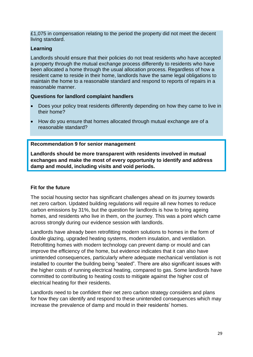£1,075 in compensation relating to the period the property did not meet the decent living standard.

#### **Learning**

Landlords should ensure that their policies do not treat residents who have accepted a property through the mutual exchange process differently to residents who have been allocated a home through the usual allocation process. Regardless of how a resident came to reside in their home, landlords have the same legal obligations to maintain the home to a reasonable standard and respond to reports of repairs in a reasonable manner.

#### **Questions for landlord complaint handlers**

- Does your policy treat residents differently depending on how they came to live in their home?
- How do you ensure that homes allocated through mutual exchange are of a reasonable standard?

#### **Recommendation 9 for senior management**

**Landlords should be more transparent with residents involved in mutual exchanges and make the most of every opportunity to identify and address damp and mould, including visits and void periods.** 

#### **Fit for the future**

The social housing sector has significant challenges ahead on its journey towards net zero carbon. Updated building regulations will require all new homes to reduce carbon emissions by 31%, but the question for landlords is how to bring ageing homes, and residents who live in them, on the journey. This was a point which came across strongly during our evidence session with landlords.

Landlords have already been retrofitting modern solutions to homes in the form of double glazing, upgraded heating systems, modern insulation, and ventilation. Retrofitting homes with modern technology can prevent damp or mould and can improve the efficiency of the home, but evidence indicates that it can also have unintended consequences, particularly where adequate mechanical ventilation is not installed to counter the building being "sealed". There are also significant issues with the higher costs of running electrical heating, compared to gas. Some landlords have committed to contributing to heating costs to mitigate against the higher cost of electrical heating for their residents.

Landlords need to be confident their net zero carbon strategy considers and plans for how they can identify and respond to these unintended consequences which may increase the prevalence of damp and mould in their residents' homes.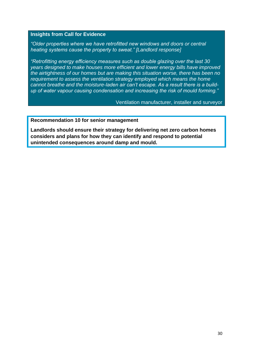#### **Insights from Call for Evidence**

*"Older properties where we have retrofitted new windows and doors or central heating systems cause the property to sweat." [Landlord response]*

*"Retrofitting energy efficiency measures such as double glazing over the last 30 years designed to make houses more efficient and lower energy bills have improved the airtightness of our homes but are making this situation worse, there has been no requirement to assess the ventilation strategy employed which means the home cannot breathe and the moisture-laden air can't escape. As a result there is a buildup of water vapour causing condensation and increasing the risk of mould forming."*

Ventilation manufacturer, installer and surveyor

#### **Recommendation 10 for senior management**

**Landlords should ensure their strategy for delivering net zero carbon homes considers and plans for how they can identify and respond to potential unintended consequences around damp and mould.**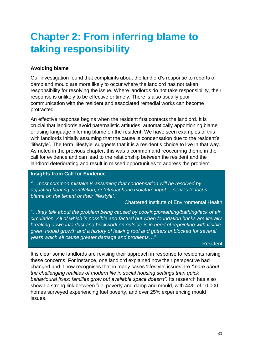# **Chapter 2: From inferring blame to taking responsibility**

#### **Avoiding blame**

Our investigation found that complaints about the landlord's response to reports of damp and mould are more likely to occur where the landlord has not taken responsibility for resolving the issue. Where landlords do not take responsibility, their response is unlikely to be effective or timely. There is also usually poor communication with the resident and associated remedial works can become protracted.

An effective response begins when the resident first contacts the landlord. It is crucial that landlords avoid paternalistic attitudes, automatically apportioning blame or using language inferring blame on the resident. We have seen examples of this with landlords initially assuming that the cause is condensation due to the resident's 'lifestyle'. The term 'lifestyle' suggests that it is a resident's choice to live in that way. As noted in the previous chapter, this was a common and reoccurring theme in the call for evidence and can lead to the relationship between the resident and the landlord deteriorating and result in missed opportunities to address the problem.

#### **Insights from Call for Evidence**

*"…most common mistake is assuming that condensation will be resolved by adjusting heating, ventilation, or 'atmospheric moisture input' – serves to focus blame on the tenant or their 'lifestyle'."* 

Chartered Institute of Environmental Health

*"…they talk about the problem being caused by cooking/breathing/bathing/lack of air circulation. All of which is possible and factual but when foundation bricks are literally breaking down into dust and brickwork on outside is in need of repointing with visible green mould growth and a history of leaking roof and gutters unblocked for several years which all cause greater damage and problems…"*

#### Resident

It is clear some landlords are revising their approach in response to residents raising these concerns. For instance, one landlord explained how their perspective had changed and it now recognises that in many cases 'lifestyle' issues are *"more about the challenging realities of modern life in social housing settings than quick behavioural fixes: families grow but available space doesn't".* Its research has also shown a strong link between fuel poverty and damp and mould, with 44% of 10,000 homes surveyed experiencing fuel poverty, and over 25% experiencing mould issues.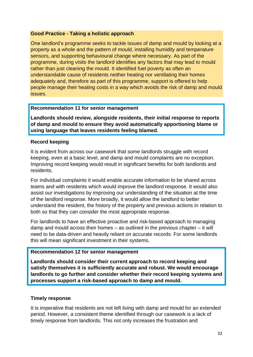#### **Good Practice - Taking a holistic approach**

One landlord's programme seeks to tackle issues of damp and mould by looking at a property as a whole and the pattern of mould, installing humidity and temperature sensors, and supporting behavioural change where necessary. As part of the programme, during visits the landlord identifies any factors that may lead to mould rather than just cleaning the mould. It identified fuel poverty as often an understandable cause of residents neither heating nor ventilating their homes adequately and, therefore as part of this programme, support is offered to help people manage their heating costs in a way which avoids the risk of damp and mould issues.

#### **Recommendation 11 for senior management**

**Landlords should review, alongside residents, their initial response to reports of damp and mould to ensure they avoid automatically apportioning blame or using language that leaves residents feeling blamed.**

#### **Record keeping**

It is evident from across our casework that some landlords struggle with record keeping, even at a basic level, and damp and mould complaints are no exception. Improving record keeping would result in significant benefits for both landlords and residents.

For individual complaints it would enable accurate information to be shared across teams and with residents which would improve the landlord response. It would also assist our investigations by improving our understanding of the situation at the time of the landlord response. More broadly, it would allow the landlord to better understand the resident, the history of the property and previous actions in relation to both so that they can consider the most appropriate response.

For landlords to have an effective proactive and risk-based approach to managing damp and mould across their homes – as outlined in the previous chapter – it will need to be data-driven and heavily reliant on accurate records. For some landlords this will mean significant investment in their systems.

#### **Recommendation 12 for senior management**

**Landlords should consider their current approach to record keeping and satisfy themselves it is sufficiently accurate and robust. We would encourage landlords to go further and consider whether their record keeping systems and processes support a risk-based approach to damp and mould.**

#### **Timely response**

It is imperative that residents are not left living with damp and mould for an extended period. However, a consistent theme identified through our casework is a lack of timely response from landlords. This not only increases the frustration and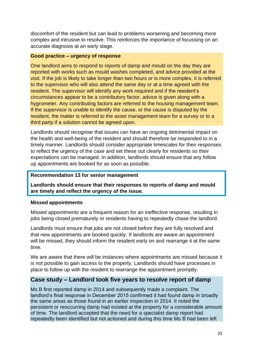discomfort of the resident but can lead to problems worsening and becoming more complex and intrusive to resolve. This reinforces the importance of focussing on an accurate diagnosis at an early stage.

#### **Good practice – urgency of response**

One landlord aims to respond to reports of damp and mould on the day they are reported with works such as mould washes completed, and advice provided at the visit. If the job is likely to take longer than two hours or is more complex, it is referred to the supervisor who will also attend the same day or at a time agreed with the resident. The supervisor will identify any work required and if the resident's circumstances appear to be a contributory factor, advice is given along with a hygrometer. Any contributing factors are referred to the housing management team. If the supervisor is unable to identify the cause, or the cause is disputed by the resident, the matter is referred to the asset management team for a survey or to a third party if a solution cannot be agreed upon.

Landlords should recognise that issues can have an ongoing detrimental impact on the health and well-being of the resident and should therefore be responded to in a timely manner. Landlords should consider appropriate timescales for their responses to reflect the urgency of the case and set these out clearly for residents so their expectations can be managed. In addition, landlords should ensure that any follow up appointments are booked for as soon as possible.

#### **Recommendation 13 for senior management**

**Landlords should ensure that their responses to reports of damp and mould are timely and reflect the urgency of the issue.** 

#### **Missed appointments**

Missed appointments are a frequent reason for an ineffective response, resulting in jobs being closed prematurely or residents having to repeatedly chase the landlord.

Landlords must ensure that jobs are not closed before they are fully resolved and that new appointments are booked quickly. If landlords are aware an appointment will be missed, they should inform the resident early on and rearrange it at the same time.

We are aware that there will be instances where appointments are missed because it is not possible to gain access to the property. Landlords should have processes in place to follow up with the resident to rearrange the appointment promptly.

#### **Case study – Landlord took five years to resolve report of damp**

Ms B first reported damp in 2014 and subsequently made a complaint. The landlord's final response in December 2015 confirmed it had found damp in broadly the same areas as those found in an earlier inspection in 2014. It noted the persistent or reoccurring damp had existed at the property for a considerable amount of time. The landlord accepted that the need for a specialist damp report had repeatedly been identified but not actioned and during this time Ms B had been left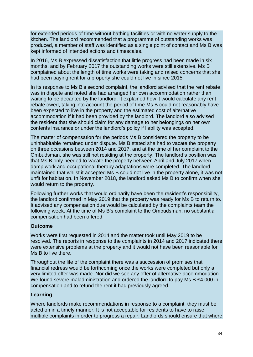for extended periods of time without bathing facilities or with no water supply to the kitchen. The landlord recommended that a programme of outstanding works was produced, a member of staff was identified as a single point of contact and Ms B was kept informed of intended actions and timescales.

In 2016, Ms B expressed dissatisfaction that little progress had been made in six months, and by February 2017 the outstanding works were still extensive. Ms B complained about the length of time works were taking and raised concerns that she had been paying rent for a property she could not live in since 2015.

In its response to Ms B's second complaint, the landlord advised that the rent rebate was in dispute and noted she had arranged her own accommodation rather than waiting to be decanted by the landlord. It explained how it would calculate any rent rebate owed, taking into account the period of time Ms B could not reasonably have been expected to live in the property and the estimated cost of alternative accommodation if it had been provided by the landlord. The landlord also advised the resident that she should claim for any damage to her belongings on her own contents insurance or under the landlord's policy if liability was accepted.

The matter of compensation for the periods Ms B considered the property to be uninhabitable remained under dispute. Ms B stated she had to vacate the property on three occasions between 2014 and 2017, and at the time of her complaint to the Ombudsman, she was still not residing at the property. The landlord's position was that Ms B only needed to vacate the property between April and July 2017 when damp work and occupational therapy adaptations were completed. The landlord maintained that whilst it accepted Ms B could not live in the property alone, it was not unfit for habitation. In November 2018, the landlord asked Ms B to confirm when she would return to the property.

Following further works that would ordinarily have been the resident's responsibility, the landlord confirmed in May 2019 that the property was ready for Ms B to return to. It advised any compensation due would be calculated by the complaints team the following week. At the time of Ms B's complaint to the Ombudsman, no substantial compensation had been offered.

#### **Outcome**

Works were first requested in 2014 and the matter took until May 2019 to be resolved. The reports in response to the complaints in 2014 and 2017 indicated there were extensive problems at the property and it would not have been reasonable for Ms B to live there.

Throughout the life of the complaint there was a succession of promises that financial redress would be forthcoming once the works were completed but only a very limited offer was made. Nor did we see any offer of alternative accommodation. We found severe maladministration and ordered the landlord to pay Ms B £4,000 in compensation and to refund the rent it had previously agreed.

#### **Learning**

Where landlords make recommendations in response to a complaint, they must be acted on in a timely manner. It is not acceptable for residents to have to raise multiple complaints in order to progress a repair. Landlords should ensure that where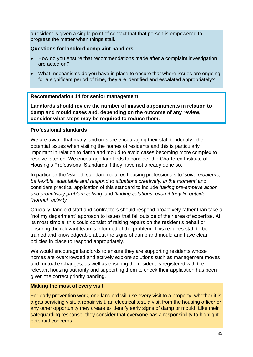a resident is given a single point of contact that that person is empowered to progress the matter when things stall.

#### **Questions for landlord complaint handlers**

- How do you ensure that recommendations made after a complaint investigation are acted on?
- What mechanisms do you have in place to ensure that where issues are ongoing for a significant period of time, they are identified and escalated appropriately?

#### **Recommendation 14 for senior management**

**Landlords should review the number of missed appointments in relation to damp and mould cases and, depending on the outcome of any review, consider what steps may be required to reduce them.** 

#### **Professional standards**

We are aware that many landlords are encouraging their staff to identify other potential issues when visiting the homes of residents and this is particularly important in relation to damp and mould to avoid cases becoming more complex to resolve later on. We encourage landlords to consider the Chartered Institute of Housing's Professional Standards if they have not already done so.

In particular the 'Skilled' standard requires housing professionals to '*solve problems, be flexible, adaptable and respond to situations creatively, in the moment'* and considers practical application of this standard to include *'taking pre-emptive action and proactively problem solving'* and *'finding solutions, even if they lie outside "normal" activity.'* 

Crucially, landlord staff and contractors should respond proactively rather than take a "not my department" approach to issues that fall outside of their area of expertise. At its most simple, this could consist of raising repairs on the resident's behalf or ensuring the relevant team is informed of the problem. This requires staff to be trained and knowledgeable about the signs of damp and mould and have clear policies in place to respond appropriately.

We would encourage landlords to ensure they are supporting residents whose homes are overcrowded and actively explore solutions such as management moves and mutual exchanges, as well as ensuring the resident is registered with the relevant housing authority and supporting them to check their application has been given the correct priority banding.

#### **Making the most of every visit**

For early prevention work, one landlord will use every visit to a property, whether it is a gas servicing visit, a repair visit, an electrical test, a visit from the housing officer or any other opportunity they create to identify early signs of damp or mould. Like their safeguarding response, they consider that everyone has a responsibility to highlight potential concerns.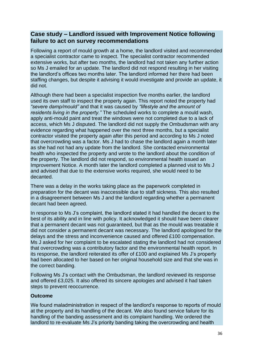#### **Case study – Landlord issued with Improvement Notice following failure to act on survey recommendations**

Following a report of mould growth at a home, the landlord visited and recommended a specialist contractor came to inspect. The specialist contractor recommended extensive works, but after two months, the landlord had not taken any further action so Ms J emailed for an update. The landlord did not respond resulting in her visiting the landlord's offices two months later. The landlord informed her there had been staffing changes, but despite it advising it would investigate and provide an update, it did not.

Although there had been a specialist inspection five months earlier, the landlord used its own staff to inspect the property again. This report noted the property had *"severe damp/mould"* and that it was caused by *"lifestyle and the amount of residents living in the property."* The scheduled works to complete a mould wash, apply anti-mould paint and treat the windows were not completed due to a lack of access, which Ms J disputed. The landlord did not supply the Ombudsman with any evidence regarding what happened over the next three months, but a specialist contractor visited the property again after this period and according to Ms J noted that overcrowding was a factor. Ms J had to chase the landlord again a month later as she had not had any update from the landlord. She contacted environmental health who inspected the property and wrote to the landlord about the condition of the property. The landlord did not respond, so environmental health issued an Improvement Notice. A month later the landlord completed a planned visit to Ms J and advised that due to the extensive works required, she would need to be decanted.

There was a delay in the works taking place as the paperwork completed in preparation for the decant was inaccessible due to staff sickness. This also resulted in a disagreement between Ms J and the landlord regarding whether a permanent decant had been agreed.

In response to Ms J's complaint, the landlord stated it had handled the decant to the best of its ability and in line with policy. It acknowledged it should have been clearer that a permanent decant was not guaranteed, but that as the mould was treatable it did not consider a permanent decant was necessary. The landlord apologised for the delays and the stress and inconvenience caused and offered £100 compensation. Ms J asked for her complaint to be escalated stating the landlord had not considered that overcrowding was a contributory factor and the environmental health report. In its response, the landlord reiterated its offer of £100 and explained Ms J's property had been allocated to her based on her original household size and that she was in the correct banding.

Following Ms J's contact with the Ombudsman, the landlord reviewed its response and offered £3,025. It also offered its sincere apologies and advised it had taken steps to prevent reoccurrence.

#### **Outcome**

We found maladministration in respect of the landlord's response to reports of mould at the property and its handling of the decant. We also found service failure for its handling of the banding assessment and its complaint handling. We ordered the landlord to re-evaluate Ms J's priority banding taking the overcrowding and health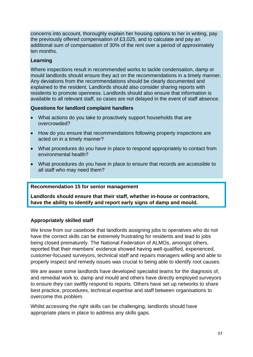concerns into account, thoroughly explain her housing options to her in writing, pay the previously offered compensation of £3,025, and to calculate and pay an additional sum of compensation of 30% of the rent over a period of approximately ten months.

#### **Learning**

Where inspections result in recommended works to tackle condensation, damp or mould landlords should ensure they act on the recommendations in a timely manner. Any deviations from the recommendations should be clearly documented and explained to the resident. Landlords should also consider sharing reports with residents to promote openness. Landlords should also ensure that information is available to all relevant staff, so cases are not delayed in the event of staff absence.

#### **Questions for landlord complaint handlers**

- What actions do you take to proactively support households that are overcrowded?
- How do you ensure that recommendations following property inspections are acted on in a timely manner?
- What procedures do you have in place to respond appropriately to contact from environmental health?
- What procedures do you have in place to ensure that records are accessible to all staff who may need them?

#### **Recommendation 15 for senior management**

**Landlords should ensure that their staff, whether in-house or contractors, have the ability to identify and report early signs of damp and mould.** 

#### **Appropriately skilled staff**

We know from our casebook that landlords assigning jobs to operatives who do not have the correct skills can be extremely frustrating for residents and lead to jobs being closed prematurely. The National Federation of ALMOs, amongst others, reported that their members' evidence showed having well-qualified, experienced, customer-focused surveyors, technical staff and repairs managers willing and able to properly inspect and remedy issues was crucial to being able to identify root causes.

We are aware some landlords have developed specialist teams for the diagnosis of, and remedial work to, damp and mould and others have directly employed surveyors to ensure they can swiftly respond to reports. Others have set up networks to share best practice, procedures, technical expertise and staff between organisations to overcome this problem.

Whilst accessing the right skills can be challenging, landlords should have appropriate plans in place to address any skills gaps.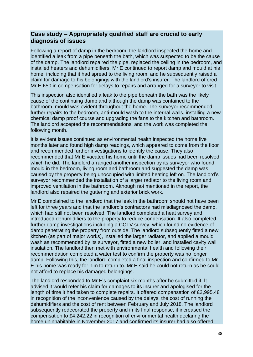#### **Case study – Appropriately qualified staff are crucial to early diagnosis of issues**

Following a report of damp in the bedroom, the landlord inspected the home and identified a leak from a pipe beneath the bath, which was suspected to be the cause of the damp. The landlord repaired the pipe, replaced the ceiling in the bedroom, and installed heaters and dehumidifiers. Mr E continued to report damp and mould at his home, including that it had spread to the living room, and he subsequently raised a claim for damage to his belongings with the landlord's insurer. The landlord offered Mr E £50 in compensation for delays to repairs and arranged for a surveyor to visit.

This inspection also identified a leak to the pipe beneath the bath was the likely cause of the continuing damp and although the damp was contained to the bathroom, mould was evident throughout the home. The surveyor recommended further repairs to the bedroom, anti-mould wash to the internal walls, installing a new chemical damp proof course and upgrading the fans to the kitchen and bathroom. The landlord accepted the recommendations, and the work was completed the following month.

It is evident issues continued as environmental health inspected the home five months later and found high damp readings, which appeared to come from the floor and recommended further investigations to identify the cause. They also recommended that Mr E vacated his home until the damp issues had been resolved, which he did. The landlord arranged another inspection by its surveyor who found mould in the bedroom, living room and bathroom and suggested the damp was caused by the property being unoccupied with limited heating left on. The landlord's surveyor recommended the installation of a larger radiator to the living room and improved ventilation in the bathroom. Although not mentioned in the report, the landlord also repaired the guttering and exterior brick work.

Mr E complained to the landlord that the leak in the bathroom should not have been left for three years and that the landlord's contractors had misdiagnosed the damp, which had still not been resolved. The landlord completed a heat survey and introduced dehumidifiers to the property to reduce condensation. It also completed further damp investigations including a CCTV survey, which found no evidence of damp penetrating the property from outside. The landlord subsequently fitted a new kitchen (as part of major works), installed the larger radiator, and applied a mould wash as recommended by its surveyor, fitted a new boiler, and installed cavity wall insulation. The landlord then met with environmental health and following their recommendation completed a water test to confirm the property was no longer damp. Following this, the landlord completed a final inspection and confirmed to Mr E his home was ready for him to return to. Mr E said he could not return as he could not afford to replace his damaged belongings.

The landlord responded to Mr E's complaint six months after he submitted it. It advised it would refer his claim for damages to its insurer and apologised for the length of time it had taken to complete repairs. It offered compensation of £2,995.48 in recognition of the inconvenience caused by the delays, the cost of running the dehumidifiers and the cost of rent between February and July 2018. The landlord subsequently redecorated the property and in its final response, it increased the compensation to £4,242.22 in recognition of environmental health declaring the home uninhabitable in November 2017 and confirmed its insurer had also offered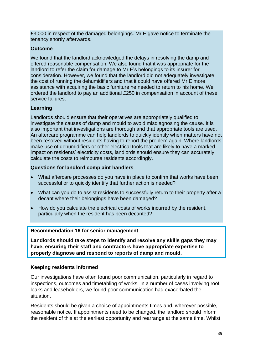£3,000 in respect of the damaged belongings. Mr E gave notice to terminate the tenancy shortly afterwards.

#### **Outcome**

We found that the landlord acknowledged the delays in resolving the damp and offered reasonable compensation. We also found that it was appropriate for the landlord to refer the claim for damage to Mr E's belongings to its insurer for consideration. However, we found that the landlord did not adequately investigate the cost of running the dehumidifiers and that it could have offered Mr E more assistance with acquiring the basic furniture he needed to return to his home. We ordered the landlord to pay an additional £250 in compensation in account of these service failures.

#### **Learning**

Landlords should ensure that their operatives are appropriately qualified to investigate the causes of damp and mould to avoid misdiagnosing the cause. It is also important that investigations are thorough and that appropriate tools are used. An aftercare programme can help landlords to quickly identify when matters have not been resolved without residents having to report the problem again. Where landlords make use of dehumidifiers or other electrical tools that are likely to have a marked impact on residents' electricity costs, landlords should ensure they can accurately calculate the costs to reimburse residents accordingly.

#### **Questions for landlord complaint handlers**

- What aftercare processes do you have in place to confirm that works have been successful or to quickly identify that further action is needed?
- What can you do to assist residents to successfully return to their property after a decant where their belongings have been damaged?
- How do you calculate the electrical costs of works incurred by the resident, particularly when the resident has been decanted?

#### **Recommendation 16 for senior management**

**Landlords should take steps to identify and resolve any skills gaps they may have, ensuring their staff and contractors have appropriate expertise to properly diagnose and respond to reports of damp and mould.**

#### **Keeping residents informed**

Our investigations have often found poor communication, particularly in regard to inspections, outcomes and timetabling of works. In a number of cases involving roof leaks and leaseholders, we found poor communication had exacerbated the situation.

Residents should be given a choice of appointments times and, wherever possible, reasonable notice. If appointments need to be changed, the landlord should inform the resident of this at the earliest opportunity and rearrange at the same time. Whilst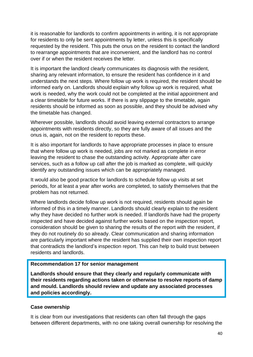it is reasonable for landlords to confirm appointments in writing, it is not appropriate for residents to only be sent appointments by letter, unless this is specifically requested by the resident. This puts the onus on the resident to contact the landlord to rearrange appointments that are inconvenient, and the landlord has no control over if or when the resident receives the letter.

It is important the landlord clearly communicates its diagnosis with the resident, sharing any relevant information, to ensure the resident has confidence in it and understands the next steps. Where follow up work is required, the resident should be informed early on. Landlords should explain why follow up work is required, what work is needed, why the work could not be completed at the initial appointment and a clear timetable for future works. If there is any slippage to the timetable, again residents should be informed as soon as possible, and they should be advised why the timetable has changed.

Wherever possible, landlords should avoid leaving external contractors to arrange appointments with residents directly, so they are fully aware of all issues and the onus is, again, not on the resident to reports these.

It is also important for landlords to have appropriate processes in place to ensure that where follow up work is needed, jobs are not marked as complete in error leaving the resident to chase the outstanding activity. Appropriate after care services, such as a follow up call after the job is marked as complete, will quickly identify any outstanding issues which can be appropriately managed.

It would also be good practice for landlords to schedule follow up visits at set periods, for at least a year after works are completed, to satisfy themselves that the problem has not returned.

Where landlords decide follow up work is not required, residents should again be informed of this in a timely manner. Landlords should clearly explain to the resident why they have decided no further work is needed. If landlords have had the property inspected and have decided against further works based on the inspection report, consideration should be given to sharing the results of the report with the resident, if they do not routinely do so already. Clear communication and sharing information are particularly important where the resident has supplied their own inspection report that contradicts the landlord's inspection report. This can help to build trust between residents and landlords.

#### **Recommendation 17 for senior management**

**Landlords should ensure that they clearly and regularly communicate with their residents regarding actions taken or otherwise to resolve reports of damp and mould. Landlords should review and update any associated processes and policies accordingly.** 

#### **Case ownership**

It is clear from our investigations that residents can often fall through the gaps between different departments, with no one taking overall ownership for resolving the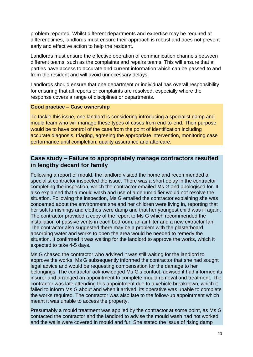problem reported. Whilst different departments and expertise may be required at different times, landlords must ensure their approach is robust and does not prevent early and effective action to help the resident.

Landlords must ensure the effective operation of communication channels between different teams, such as the complaints and repairs teams. This will ensure that all parties have access to accurate and current information which can be passed to and from the resident and will avoid unnecessary delays.

Landlords should ensure that one department or individual has overall responsibility for ensuring that all reports or complaints are resolved, especially where the response covers a range of disciplines or departments.

#### **Good practice – Case ownership**

To tackle this issue, one landlord is considering introducing a specialist damp and mould team who will manage these types of cases from end-to-end. Their purpose would be to have control of the case from the point of identification including accurate diagnosis, triaging, agreeing the appropriate intervention, monitoring case performance until completion, quality assurance and aftercare.

#### **Case study – Failure to appropriately manage contractors resulted in lengthy decant for family**

Following a report of mould, the landlord visited the home and recommended a specialist contractor inspected the issue. There was a short delay in the contractor completing the inspection, which the contractor emailed Ms G and apologised for. It also explained that a mould wash and use of a dehumidifier would not resolve the situation. Following the inspection, Ms G emailed the contractor explaining she was concerned about the environment she and her children were living in, reporting that her soft furnishings and clothes were damp and that her youngest child was ill again. The contractor provided a copy of the report to Ms G which recommended the installation of passive vents in each bedroom, an air filter and a new extractor fan. The contractor also suggested there may be a problem with the plasterboard absorbing water and works to open the area would be needed to remedy the situation. It confirmed it was waiting for the landlord to approve the works, which it expected to take 4-5 days.

Ms G chased the contractor who advised it was still waiting for the landlord to approve the works. Ms G subsequently informed the contractor that she had sought legal advice and would be requesting compensation for the damage to her belongings. The contractor acknowledged Ms G's contact, advised it had informed its insurer and arranged an appointment to complete mould removal and treatment. The contractor was late attending this appointment due to a vehicle breakdown, which it failed to inform Ms G about and when it arrived, its operative was unable to complete the works required. The contractor was also late to the follow-up appointment which meant it was unable to access the property.

Presumably a mould treatment was applied by the contractor at some point, as Ms G contacted the contractor and the landlord to advise the mould wash had not worked and the walls were covered in mould and fur. She stated the issue of rising damp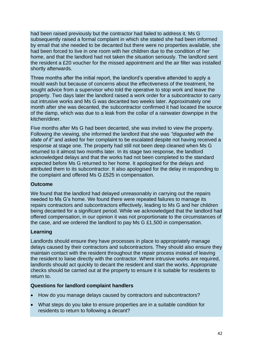had been raised previously but the contractor had failed to address it. Ms G subsequently raised a formal complaint in which she stated she had been informed by email that she needed to be decanted but there were no properties available, she had been forced to live in one room with her children due to the condition of her home, and that the landlord had not taken the situation seriously. The landlord sent the resident a £20 voucher for the missed appointment and the air filter was installed shortly afterwards.

Three months after the initial report, the landlord's operative attended to apply a mould wash but because of concerns about the effectiveness of the treatment, he sought advice from a supervisor who told the operative to stop work and leave the property. Two days later the landlord raised a work order for a subcontractor to carry out intrusive works and Ms G was decanted two weeks later. Approximately one month after she was decanted, the subcontractor confirmed it had located the source of the damp, which was due to a leak from the collar of a rainwater downpipe in the kitchen/diner.

Five months after Ms G had been decanted, she was invited to view the property. Following the viewing, she informed the landlord that she was *"disgusted with the state of it"* and asked for her complaint to be escalated despite not having received a response at stage one. The property had still not been deep cleaned when Ms G returned to it almost two months later. In its stage two response, the landlord acknowledged delays and that the works had not been completed to the standard expected before Ms G returned to her home. It apologised for the delays and attributed them to its subcontractor. It also apologised for the delay in responding to the complaint and offered Ms G £525 in compensation.

#### **Outcome**

We found that the landlord had delayed unreasonably in carrying out the repairs needed to Ms G's home. We found there were repeated failures to manage its repairs contractors and subcontractors effectively, leading to Ms G and her children being decanted for a significant period. While we acknowledged that the landlord had offered compensation, in our opinion it was not proportionate to the circumstances of the case, and we ordered the landlord to pay Ms G £1,500 in compensation.

#### **Learning**

Landlords should ensure they have processes in place to appropriately manage delays caused by their contractors and subcontractors. They should also ensure they maintain contact with the resident throughout the repair process instead of leaving the resident to liaise directly with the contractor. Where intrusive works are required, landlords should act quickly to decant the resident and start the works. Appropriate checks should be carried out at the property to ensure it is suitable for residents to return to.

#### **Questions for landlord complaint handlers**

- How do you manage delays caused by contractors and subcontractors?
- What steps do you take to ensure properties are in a suitable condition for residents to return to following a decant?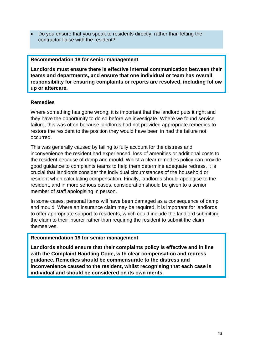• Do you ensure that you speak to residents directly, rather than letting the contractor liaise with the resident?

#### **Recommendation 18 for senior management**

**Landlords must ensure there is effective internal communication between their teams and departments, and ensure that one individual or team has overall responsibility for ensuring complaints or reports are resolved, including follow up or aftercare.**

#### **Remedies**

Where something has gone wrong, it is important that the landlord puts it right and they have the opportunity to do so before we investigate. Where we found service failure, this was often because landlords had not provided appropriate remedies to restore the resident to the position they would have been in had the failure not occurred.

This was generally caused by failing to fully account for the distress and inconvenience the resident had experienced, loss of amenities or additional costs to the resident because of damp and mould. Whilst a clear remedies policy can provide good guidance to complaints teams to help them determine adequate redress, it is crucial that landlords consider the individual circumstances of the household or resident when calculating compensation. Finally, landlords should apologise to the resident, and in more serious cases, consideration should be given to a senior member of staff apologising in person.

In some cases, personal items will have been damaged as a consequence of damp and mould. Where an insurance claim may be required, it is important for landlords to offer appropriate support to residents, which could include the landlord submitting the claim to their insurer rather than requiring the resident to submit the claim themselves.

#### **Recommendation 19 for senior management**

**Landlords should ensure that their complaints policy is effective and in line with the Complaint Handling Code, with clear compensation and redress guidance. Remedies should be commensurate to the distress and inconvenience caused to the resident, whilst recognising that each case is individual and should be considered on its own merits.**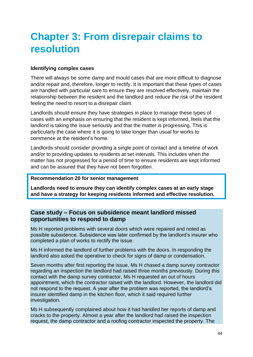# **Chapter 3: From disrepair claims to resolution**

#### **Identifying complex cases**

There will always be some damp and mould cases that are more difficult to diagnose and/or repair and, therefore, longer to rectify. It is important that these types of cases are handled with particular care to ensure they are resolved effectively, maintain the relationship between the resident and the landlord and reduce the risk of the resident feeling the need to resort to a disrepair claim.

Landlords should ensure they have strategies in place to manage these types of cases with an emphasis on ensuring that the resident is kept informed, feels that the landlord is taking the issue seriously and that the matter is progressing. This is particularly the case where it is going to take longer than usual for works to commence at the resident's home.

Landlords should consider providing a single point of contact and a timeline of work and/or to providing updates to residents at set intervals. This includes when the matter has not progressed for a period of time to ensure residents are kept informed and can be assured that they have not been forgotten.

#### **Recommendation 20 for senior management**

**Landlords need to ensure they can identify complex cases at an early stage and have a strategy for keeping residents informed and effective resolution.**

#### **Case study – Focus on subsidence meant landlord missed opportunities to respond to damp**

Ms H reported problems with several doors which were repaired and noted as possible subsidence. Subsidence was later confirmed by the landlord's insurer who completed a plan of works to rectify the issue.

Ms H informed the landlord of further problems with the doors. In responding the landlord also asked the operative to check for signs of damp or condensation.

Seven months after first reporting the issue, Ms H chased a damp survey contractor regarding an inspection the landlord had raised three months previously. During this contact with the damp survey contractor, Ms H requested an out of hours appointment, which the contractor raised with the landlord. However, the landlord did not respond to the request. A year after the problem was reported, the landlord's insurer identified damp in the kitchen floor, which it said required further investigation.

Ms H subsequently complained about how it had handled her reports of damp and cracks to the property. Almost a year after the landlord had raised the inspection request, the damp contractor and a roofing contractor inspected the property. The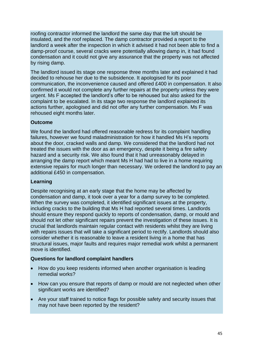roofing contractor informed the landlord the same day that the loft should be insulated, and the roof replaced. The damp contractor provided a report to the landlord a week after the inspection in which it advised it had not been able to find a damp-proof course, several cracks were potentially allowing damp in, it had found condensation and it could not give any assurance that the property was not affected by rising damp.

The landlord issued its stage one response three months later and explained it had decided to rehouse her due to the subsidence. It apologised for its poor communication, the inconvenience caused and offered £400 in compensation. It also confirmed it would not complete any further repairs at the property unless they were urgent. Ms F accepted the landlord's offer to be rehoused but also asked for the complaint to be escalated. In its stage two response the landlord explained its actions further, apologised and did not offer any further compensation. Ms F was rehoused eight months later.

#### **Outcome**

We found the landlord had offered reasonable redress for its complaint handling failures, however we found maladministration for how it handled Ms H's reports about the door, cracked walls and damp. We considered that the landlord had not treated the issues with the door as an emergency, despite it being a fire safety hazard and a security risk. We also found that it had unreasonably delayed in arranging the damp report which meant Ms H had had to live in a home requiring extensive repairs for much longer than necessary. We ordered the landlord to pay an additional £450 in compensation.

#### **Learning**

Despite recognising at an early stage that the home may be affected by condensation and damp, it took over a year for a damp survey to be completed. When the survey was completed, it identified significant issues at the property, including cracks to the building that Ms H had reported several times. Landlords should ensure they respond quickly to reports of condensation, damp, or mould and should not let other significant repairs prevent the investigation of these issues. It is crucial that landlords maintain regular contact with residents whilst they are living with repairs issues that will take a significant period to rectify. Landlords should also consider whether it is reasonable to leave a resident living in a home that has structural issues, major faults and requires major remedial work whilst a permanent move is identified.

#### **Questions for landlord complaint handlers**

- How do you keep residents informed when another organisation is leading remedial works?
- How can you ensure that reports of damp or mould are not neglected when other significant works are identified?
- Are your staff trained to notice flags for possible safety and security issues that may not have been reported by the resident?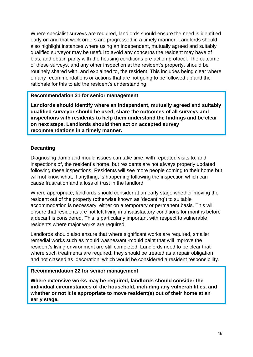Where specialist surveys are required, landlords should ensure the need is identified early on and that work orders are progressed in a timely manner. Landlords should also highlight instances where using an independent, mutually agreed and suitably qualified surveyor may be useful to avoid any concerns the resident may have of bias, and obtain parity with the housing conditions pre-action protocol. The outcome of these surveys, and any other inspection at the resident's property, should be routinely shared with, and explained to, the resident. This includes being clear where on any recommendations or actions that are not going to be followed up and the rationale for this to aid the resident's understanding.

#### **Recommendation 21 for senior management**

**Landlords should identify where an independent, mutually agreed and suitably qualified surveyor should be used, share the outcomes of all surveys and inspections with residents to help them understand the findings and be clear on next steps. Landlords should then act on accepted survey recommendations in a timely manner.**

#### **Decanting**

Diagnosing damp and mould issues can take time, with repeated visits to, and inspections of, the resident's home, but residents are not always properly updated following these inspections. Residents will see more people coming to their home but will not know what, if anything, is happening following the inspection which can cause frustration and a loss of trust in the landlord.

Where appropriate, landlords should consider at an early stage whether moving the resident out of the property (otherwise known as 'decanting') to suitable accommodation is necessary, either on a temporary or permanent basis. This will ensure that residents are not left living in unsatisfactory conditions for months before a decant is considered. This is particularly important with respect to vulnerable residents where major works are required.

Landlords should also ensure that where significant works are required, smaller remedial works such as mould washes/anti-mould paint that will improve the resident's living environment are still completed. Landlords need to be clear that where such treatments are required, they should be treated as a repair obligation and not classed as 'decoration' which would be considered a resident responsibility.

#### **Recommendation 22 for senior management**

**Where extensive works may be required, landlords should consider the individual circumstances of the household, including any vulnerabilities, and whether or not it is appropriate to move resident(s) out of their home at an early stage.**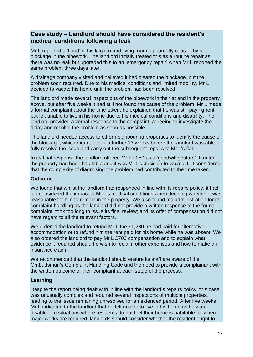#### **Case study – Landlord should have considered the resident's medical conditions following a leak**

Mr L reported a 'flood' in his kitchen and living room, apparently caused by a blockage in the pipework. The landlord initially treated this as a routine repair as there was no leak but upgraded this to an 'emergency repair' when Mr L reported the same problem three days later.

A drainage company visited and believed it had cleared the blockage, but the problem soon recurred. Due to his medical conditions and limited mobility, Mr L decided to vacate his home until the problem had been resolved.

The landlord made several inspections of the pipework in the flat and in the property above, but after five weeks it had still not found the cause of the problem. Mr L made a formal complaint about the time taken; he explained that he was still paying rent but felt unable to live in his home due to his medical conditions and disability. The landlord provided a verbal response to the complaint, agreeing to investigate the delay and resolve the problem as soon as possible.

The landlord needed access to other neighbouring properties to identify the cause of the blockage, which meant it took a further 13 weeks before the landlord was able to fully resolve the issue and carry out the subsequent repairs to Mr L's flat.

In its final response the landlord offered Mr L £250 as a 'goodwill gesture'. It noted the property had been habitable and it was Mr L's decision to vacate it. It considered that the complexity of diagnosing the problem had contributed to the time taken.

#### **Outcome**

We found that whilst the landlord had responded in line with its repairs policy, it had not considered the impact of Mr L's medical conditions when deciding whether it was reasonable for him to remain in the property. We also found maladministration for its complaint handling as the landlord did not provide a written response to the formal complaint; took too long to issue its final review; and its offer of compensation did not have regard to all the relevant factors.

We ordered the landlord to refund Mr L the £1,280 he had paid for alternative accommodation or to refund him the rent paid for his home while he was absent. We also ordered the landlord to pay Mr L £700 compensation and to explain what evidence it required should he wish to reclaim other expenses and how to make an insurance claim.

We recommended that the landlord should ensure its staff are aware of the Ombudsman's Complaint Handling Code and the need to provide a complainant with the written outcome of their complaint at each stage of the process.

#### **Learning**

Despite the report being dealt with in line with the landlord's repairs policy, this case was unusually complex and required several inspections of multiple properties, leading to the issue remaining unresolved for an extended period. After five weeks Mr L indicated to the landlord that he felt unable to live in his home as he was disabled. In situations where residents do not feel their home is habitable, or where major works are required, landlords should consider whether the resident ought to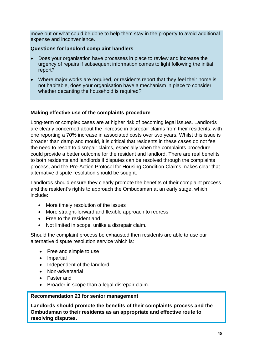move out or what could be done to help them stay in the property to avoid additional expense and inconvenience.

#### **Questions for landlord complaint handlers**

- Does your organisation have processes in place to review and increase the urgency of repairs if subsequent information comes to light following the initial report?
- Where major works are required, or residents report that they feel their home is not habitable, does your organisation have a mechanism in place to consider whether decanting the household is required?

#### **Making effective use of the complaints procedure**

Long-term or complex cases are at higher risk of becoming legal issues. Landlords are clearly concerned about the increase in disrepair claims from their residents, with one reporting a 70% increase in associated costs over two years. Whilst this issue is broader than damp and mould, it is critical that residents in these cases do not feel the need to resort to disrepair claims, especially when the complaints procedure could provide a better outcome for the resident and landlord. There are real benefits to both residents and landlords if disputes can be resolved through the complaints process, and the Pre-Action Protocol for Housing Condition Claims makes clear that alternative dispute resolution should be sought.

Landlords should ensure they clearly promote the benefits of their complaint process and the resident's rights to approach the Ombudsman at an early stage, which include:

- More timely resolution of the issues
- More straight-forward and flexible approach to redress
- Free to the resident and
- Not limited in scope, unlike a disrepair claim.

Should the complaint process be exhausted then residents are able to use our alternative dispute resolution service which is:

- Free and simple to use
- Impartial
- Independent of the landlord
- Non-adversarial
- Faster and
- Broader in scope than a legal disrepair claim.

#### **Recommendation 23 for senior management**

**Landlords should promote the benefits of their complaints process and the Ombudsman to their residents as an appropriate and effective route to resolving disputes.**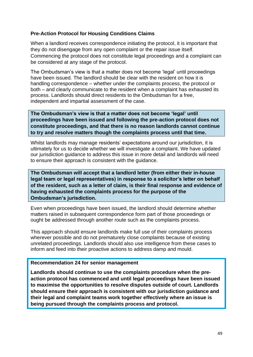#### **Pre-Action Protocol for Housing Conditions Claims**

When a landlord receives correspondence initiating the protocol, it is important that they do not disengage from any open complaint or the repair issue itself. Commencing the protocol does not constitute legal proceedings and a complaint can be considered at any stage of the protocol.

The Ombudsman's view is that a matter does not become 'legal' until proceedings have been issued. The landlord should be clear with the resident on how it is handling correspondence – whether under the complaints process, the protocol or both – and clearly communicate to the resident when a complaint has exhausted its process. Landlords should direct residents to the Ombudsman for a free, independent and impartial assessment of the case.

**The Ombudsman's view is that a matter does not become 'legal' until proceedings have been issued and following the pre-action protocol does not constitute proceedings, and that there is no reason landlords cannot continue to try and resolve matters though the complaints process until that time.** 

Whilst landlords may manage residents' expectations around our jurisdiction, it is ultimately for us to decide whether we will investigate a complaint. We have updated our jurisdiction guidance to address this issue in more detail and landlords will need to ensure their approach is consistent with the guidance.

**The Ombudsman will accept that a landlord letter (from either their in-house legal team or legal representatives) in response to a solicitor's letter on behalf of the resident, such as a letter of claim, is their final response and evidence of having exhausted the complaints process for the purpose of the Ombudsman's jurisdiction.** 

Even when proceedings have been issued, the landlord should determine whether matters raised in subsequent correspondence form part of those proceedings or ought be addressed through another route such as the complaints process.

This approach should ensure landlords make full use of their complaints process wherever possible and do not prematurely close complaints because of existing unrelated proceedings. Landlords should also use intelligence from these cases to inform and feed into their proactive actions to address damp and mould.

#### **Recommendation 24 for senior management**

**Landlords should continue to use the complaints procedure when the preaction protocol has commenced and until legal proceedings have been issued to maximise the opportunities to resolve disputes outside of court. Landlords should ensure their approach is consistent with our jurisdiction guidance and their legal and complaint teams work together effectively where an issue is being pursued through the complaints process and protocol.**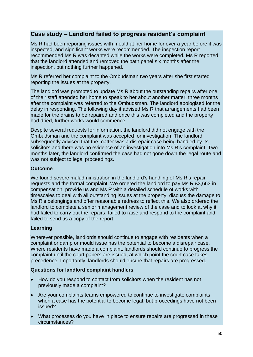### **Case study – Landlord failed to progress resident's complaint**

Ms R had been reporting issues with mould at her home for over a year before it was inspected, and significant works were recommended. The inspection report recommended Ms R was decanted while the works were completed. Ms R reported that the landlord attended and removed the bath panel six months after the inspection, but nothing further happened.

Ms R referred her complaint to the Ombudsman two years after she first started reporting the issues at the property.

The landlord was prompted to update Ms R about the outstanding repairs after one of their staff attended her home to speak to her about another matter, three months after the complaint was referred to the Ombudsman. The landlord apologised for the delay in responding. The following day it advised Ms R that arrangements had been made for the drains to be repaired and once this was completed and the property had dried, further works would commence.

Despite several requests for information, the landlord did not engage with the Ombudsman and the complaint was accepted for investigation. The landlord subsequently advised that the matter was a disrepair case being handled by its solicitors and there was no evidence of an investigation into Ms R's complaint. Two months later, the landlord confirmed the case had not gone down the legal route and was not subject to legal proceedings.

#### **Outcome**

We found severe maladministration in the landlord's handling of Ms R's repair requests and the formal complaint. We ordered the landlord to pay Ms R £3,663 in compensation, provide us and Ms R with a detailed schedule of works with timescales to deal with all outstanding issues at the property, discuss the damage to Ms R's belongings and offer reasonable redress to reflect this. We also ordered the landlord to complete a senior management review of the case and to look at why it had failed to carry out the repairs, failed to raise and respond to the complaint and failed to send us a copy of the report.

#### **Learning**

Wherever possible, landlords should continue to engage with residents when a complaint or damp or mould issue has the potential to become a disrepair case. Where residents have made a complaint, landlords should continue to progress the complaint until the court papers are issued, at which point the court case takes precedence. Importantly, landlords should ensure that repairs are progressed.

#### **Questions for landlord complaint handlers**

- How do you respond to contact from solicitors when the resident has not previously made a complaint?
- Are your complaints teams empowered to continue to investigate complaints when a case has the potential to become legal, but proceedings have not been issued?
- What processes do you have in place to ensure repairs are progressed in these circumstances?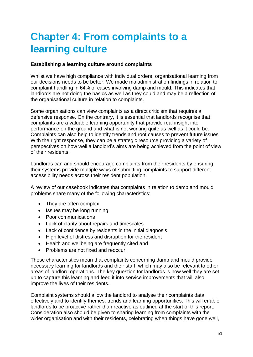# **Chapter 4: From complaints to a learning culture**

#### **Establishing a learning culture around complaints**

Whilst we have high compliance with individual orders, organisational learning from our decisions needs to be better. We made maladministration findings in relation to complaint handling in 64% of cases involving damp and mould. This indicates that landlords are not doing the basics as well as they could and may be a reflection of the organisational culture in relation to complaints.

Some organisations can view complaints as a direct criticism that requires a defensive response. On the contrary, it is essential that landlords recognise that complaints are a valuable learning opportunity that provide real insight into performance on the ground and what is not working quite as well as it could be. Complaints can also help to identify trends and root causes to prevent future issues. With the right response, they can be a strategic resource providing a variety of perspectives on how well a landlord's aims are being achieved from the point of view of their residents.

Landlords can and should encourage complaints from their residents by ensuring their systems provide multiple ways of submitting complaints to support different accessibility needs across their resident population.

A review of our casebook indicates that complaints in relation to damp and mould problems share many of the following characteristics:

- They are often complex
- Issues may be long running
- Poor communications
- Lack of clarity about repairs and timescales
- Lack of confidence by residents in the initial diagnosis
- High level of distress and disruption for the resident
- Health and wellbeing are frequently cited and
- Problems are not fixed and reoccur.

These characteristics mean that complaints concerning damp and mould provide necessary learning for landlords and their staff, which may also be relevant to other areas of landlord operations. The key question for landlords is how well they are set up to capture this learning and feed it into service improvements that will also improve the lives of their residents.

Complaint systems should allow the landlord to analyse their complaints data effectively and to identify themes, trends and learning opportunities. This will enable landlords to be proactive rather than reactive as outlined at the start of this report. Consideration also should be given to sharing learning from complaints with the wider organisation and with their residents, celebrating when things have gone well.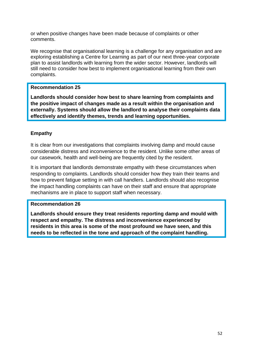or when positive changes have been made because of complaints or other comments.

We recognise that organisational learning is a challenge for any organisation and are exploring establishing a Centre for Learning as part of our next three-year corporate plan to assist landlords with learning from the wider sector. However, landlords will still need to consider how best to implement organisational learning from their own complaints.

#### **Recommendation 25**

**Landlords should consider how best to share learning from complaints and the positive impact of changes made as a result within the organisation and externally. Systems should allow the landlord to analyse their complaints data effectively and identify themes, trends and learning opportunities.**

#### **Empathy**

It is clear from our investigations that complaints involving damp and mould cause considerable distress and inconvenience to the resident. Unlike some other areas of our casework, health and well-being are frequently cited by the resident.

It is important that landlords demonstrate empathy with these circumstances when responding to complaints. Landlords should consider how they train their teams and how to prevent fatigue setting in with call handlers. Landlords should also recognise the impact handling complaints can have on their staff and ensure that appropriate mechanisms are in place to support staff when necessary.

#### **Recommendation 26**

**Landlords should ensure they treat residents reporting damp and mould with respect and empathy. The distress and inconvenience experienced by residents in this area is some of the most profound we have seen, and this needs to be reflected in the tone and approach of the complaint handling.**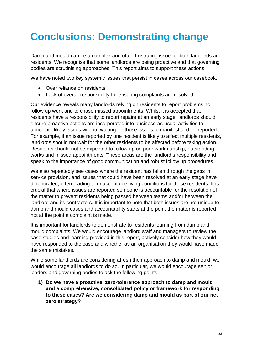# **Conclusions: Demonstrating change**

Damp and mould can be a complex and often frustrating issue for both landlords and residents. We recognise that some landlords are being proactive and that governing bodies are scrutinising approaches. This report aims to support these actions.

We have noted two key systemic issues that persist in cases across our casebook.

- Over reliance on residents
- Lack of overall responsibility for ensuring complaints are resolved.

Our evidence reveals many landlords relying on residents to report problems, to follow up work and to chase missed appointments. Whilst it is accepted that residents have a responsibility to report repairs at an early stage, landlords should ensure proactive actions are incorporated into business-as-usual activities to anticipate likely issues without waiting for those issues to manifest and be reported. For example, if an issue reported by one resident is likely to affect multiple residents, landlords should not wait for the other residents to be affected before taking action. Residents should not be expected to follow up on poor workmanship, outstanding works and missed appointments. These areas are the landlord's responsibility and speak to the importance of good communication and robust follow up procedures.

We also repeatedly see cases where the resident has fallen through the gaps in service provision, and issues that could have been resolved at an early stage have deteriorated, often leading to unacceptable living conditions for those residents. It is crucial that where issues are reported someone is accountable for the resolution of the matter to prevent residents being passed between teams and/or between the landlord and its contractors. It is important to note that both issues are not unique to damp and mould cases and accountability starts at the point the matter is reported not at the point a complaint is made.

It is important for landlords to demonstrate to residents learning from damp and mould complaints. We would encourage landlord staff and managers to review the case studies and learning provided in this report, actively consider how they would have responded to the case and whether as an organisation they would have made the same mistakes.

While some landlords are considering afresh their approach to damp and mould, we would encourage all landlords to do so. In particular, we would encourage senior leaders and governing bodies to ask the following points:

**1) Do we have a proactive, zero-tolerance approach to damp and mould and a comprehensive, consolidated policy or framework for responding to these cases? Are we considering damp and mould as part of our net zero strategy?**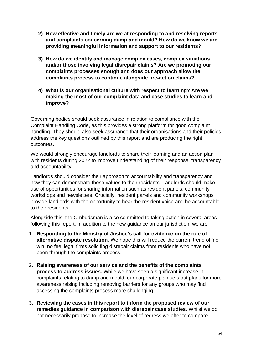- **2) How effective and timely are we at responding to and resolving reports and complaints concerning damp and mould? How do we know we are providing meaningful information and support to our residents?**
- **3) How do we identify and manage complex cases, complex situations and/or those involving legal disrepair claims? Are we promoting our complaints processes enough and does our approach allow the complaints process to continue alongside pre-action claims?**
- **4) What is our organisational culture with respect to learning? Are we making the most of our complaint data and case studies to learn and improve?**

Governing bodies should seek assurance in relation to compliance with the Complaint Handling Code, as this provides a strong platform for good complaint handling. They should also seek assurance that their organisations and their policies address the key questions outlined by this report and are producing the right outcomes.

We would strongly encourage landlords to share their learning and an action plan with residents during 2022 to improve understanding of their response, transparency and accountability.

Landlords should consider their approach to accountability and transparency and how they can demonstrate these values to their residents. Landlords should make use of opportunities for sharing information such as resident panels, community workshops and newsletters. Crucially, resident panels and community workshops provide landlords with the opportunity to hear the resident voice and be accountable to their residents.

Alongside this, the Ombudsman is also committed to taking action in several areas following this report. In addition to the new guidance on our jurisdiction, we are:

- 1. **Responding to the Ministry of Justice's call for evidence on the role of alternative dispute resolution**. We hope this will reduce the current trend of 'no win, no fee' legal firms soliciting disrepair claims from residents who have not been through the complaints process.
- 2. **Raising awareness of our service and the benefits of the complaints process to address issues.** While we have seen a significant increase in complaints relating to damp and mould, our corporate plan sets out plans for more awareness raising including removing barriers for any groups who may find accessing the complaints process more challenging.
- 3. **Reviewing the cases in this report to inform the proposed review of our remedies guidance in comparison with disrepair case studies**. Whilst we do not necessarily propose to increase the level of redress we offer to compare